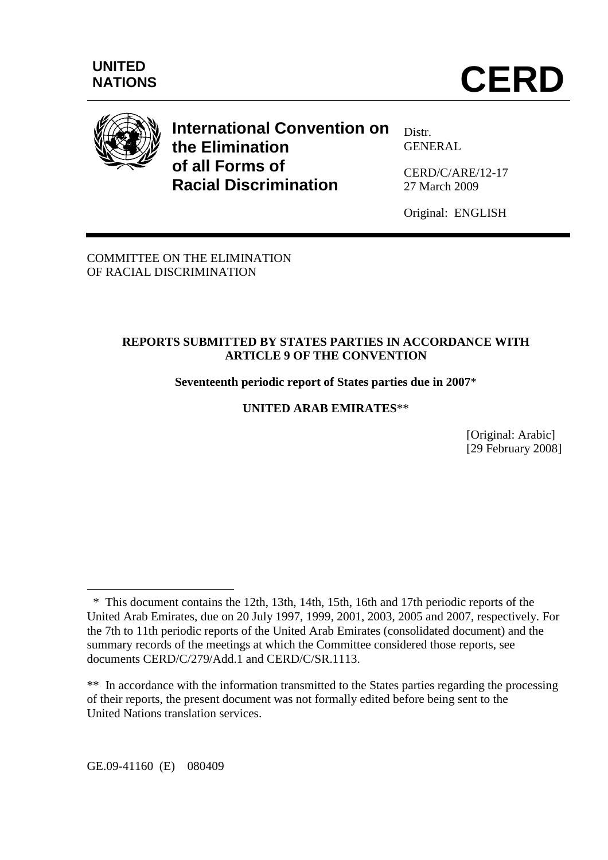

**International Convention on the Elimination of all Forms of Racial Discrimination** 

Distr. GENERAL

CERD/C/ARE/12-17 27 March 2009

Original: ENGLISH

COMMITTEE ON THE ELIMINATION OF RACIAL DISCRIMINATION

# **REPORTS SUBMITTED BY STATES PARTIES IN ACCORDANCE WITH ARTICLE 9 OF THE CONVENTION**

**Seventeenth periodic report of States parties due in 2007**\*

**UNITED ARAB EMIRATES**\*\*

[Original: Arabic] [29 February 2008]

GE.09-41160 (E) 080409

 $\overline{a}$ 

 <sup>\*</sup> This document contains the 12th, 13th, 14th, 15th, 16th and 17th periodic reports of the United Arab Emirates, due on 20 July 1997, 1999, 2001, 2003, 2005 and 2007, respectively. For the 7th to 11th periodic reports of the United Arab Emirates (consolidated document) and the summary records of the meetings at which the Committee considered those reports, see documents CERD/C/279/Add.1 and CERD/C/SR.1113.

<sup>\*\*</sup> In accordance with the information transmitted to the States parties regarding the processing of their reports, the present document was not formally edited before being sent to the United Nations translation services.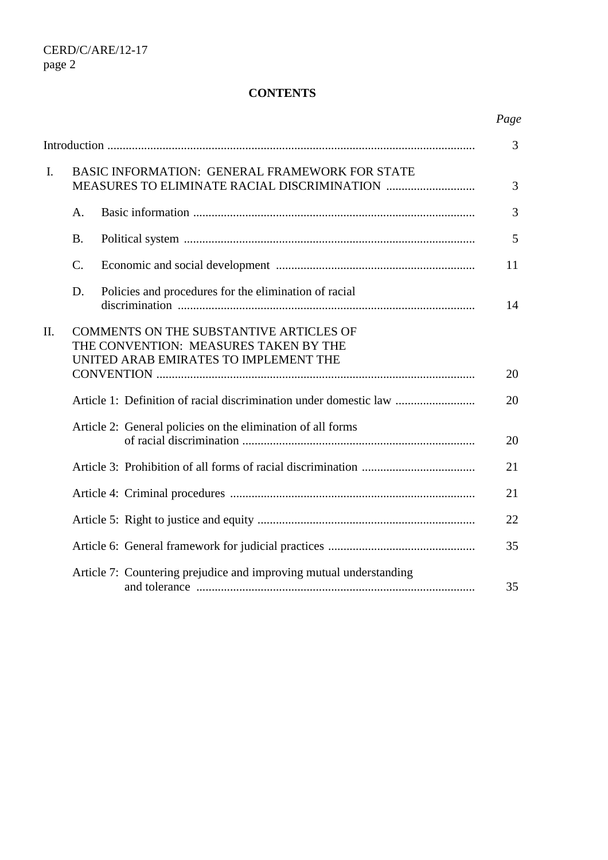#### **CONTENTS**

|                |                                                                                                                           |                                                                    | Page |  |
|----------------|---------------------------------------------------------------------------------------------------------------------------|--------------------------------------------------------------------|------|--|
|                |                                                                                                                           |                                                                    | 3    |  |
| $\mathbf{I}$ . | BASIC INFORMATION: GENERAL FRAMEWORK FOR STATE                                                                            |                                                                    |      |  |
|                | A.                                                                                                                        |                                                                    | 3    |  |
|                | <b>B.</b>                                                                                                                 |                                                                    | 5    |  |
|                | $\mathcal{C}$ .                                                                                                           |                                                                    | 11   |  |
|                | D.                                                                                                                        | Policies and procedures for the elimination of racial              | 14   |  |
| II.            | COMMENTS ON THE SUBSTANTIVE ARTICLES OF<br>THE CONVENTION: MEASURES TAKEN BY THE<br>UNITED ARAB EMIRATES TO IMPLEMENT THE |                                                                    |      |  |
|                |                                                                                                                           |                                                                    | 20   |  |
|                |                                                                                                                           | Article 1: Definition of racial discrimination under domestic law  | 20   |  |
|                |                                                                                                                           | Article 2: General policies on the elimination of all forms        | 20   |  |
|                |                                                                                                                           |                                                                    | 21   |  |
|                |                                                                                                                           |                                                                    | 21   |  |
|                |                                                                                                                           |                                                                    | 22   |  |
|                |                                                                                                                           |                                                                    | 35   |  |
|                |                                                                                                                           | Article 7: Countering prejudice and improving mutual understanding | 35   |  |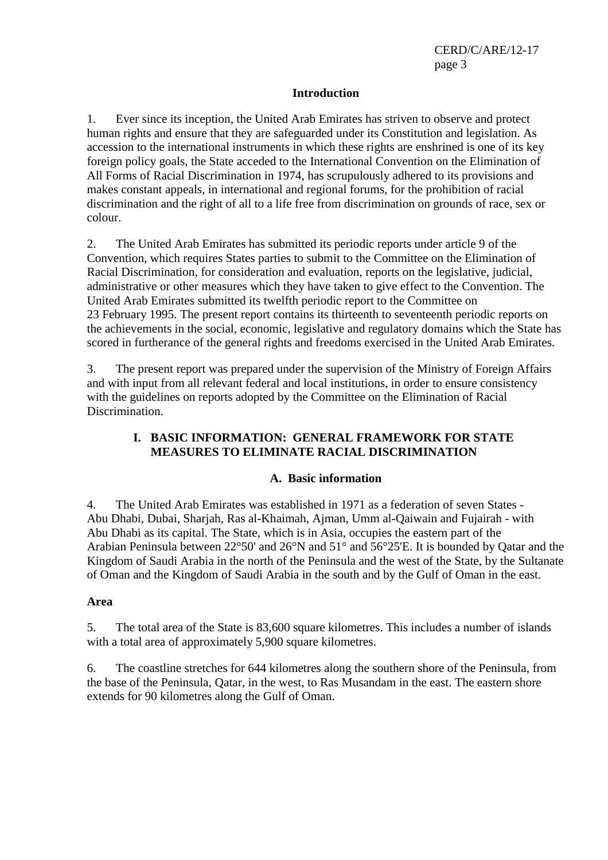#### **Introduction**

1. Ever since its inception, the United Arab Emirates has striven to observe and protect human rights and ensure that they are safeguarded under its Constitution and legislation. As accession to the international instruments in which these rights are enshrined is one of its key foreign policy goals, the State acceded to the International Convention on the Elimination of All Forms of Racial Discrimination in 1974, has scrupulously adhered to its provisions and makes constant appeals, in international and regional forums, for the prohibition of racial discrimination and the right of all to a life free from discrimination on grounds of race, sex or colour.

2. The United Arab Emirates has submitted its periodic reports under article 9 of the Convention, which requires States parties to submit to the Committee on the Elimination of Racial Discrimination, for consideration and evaluation, reports on the legislative, judicial, administrative or other measures which they have taken to give effect to the Convention. The United Arab Emirates submitted its twelfth periodic report to the Committee on 23 February 1995. The present report contains its thirteenth to seventeenth periodic reports on the achievements in the social, economic, legislative and regulatory domains which the State has scored in furtherance of the general rights and freedoms exercised in the United Arab Emirates.

3. The present report was prepared under the supervision of the Ministry of Foreign Affairs and with input from all relevant federal and local institutions, in order to ensure consistency with the guidelines on reports adopted by the Committee on the Elimination of Racial Discrimination.

### **I. BASIC INFORMATION: GENERAL FRAMEWORK FOR STATE MEASURES TO ELIMINATE RACIAL DISCRIMINATION**

### **A. Basic information**

4. The United Arab Emirates was established in 1971 as a federation of seven States - Abu Dhabi, Dubai, Sharjah, Ras al-Khaimah, Ajman, Umm al-Qaiwain and Fujairah - with Abu Dhabi as its capital. The State, which is in Asia, occupies the eastern part of the Arabian Peninsula between 22°50' and 26°N and 51° and 56°25'E. It is bounded by Qatar and the Kingdom of Saudi Arabia in the north of the Peninsula and the west of the State, by the Sultanate of Oman and the Kingdom of Saudi Arabia in the south and by the Gulf of Oman in the east.

#### **Area**

5. The total area of the State is 83,600 square kilometres. This includes a number of islands with a total area of approximately 5,900 square kilometres.

6. The coastline stretches for 644 kilometres along the southern shore of the Peninsula, from the base of the Peninsula, Qatar, in the west, to Ras Musandam in the east. The eastern shore extends for 90 kilometres along the Gulf of Oman.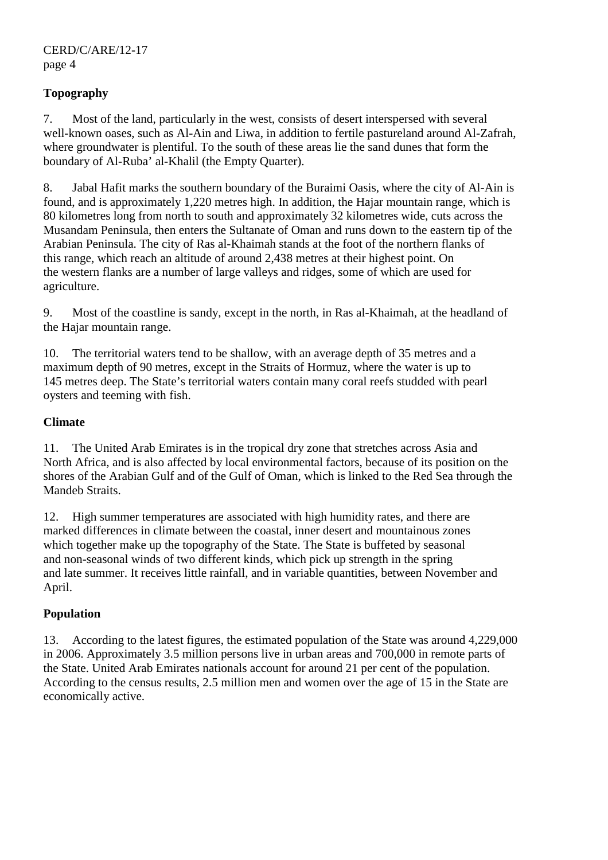# **Topography**

7. Most of the land, particularly in the west, consists of desert interspersed with several well-known oases, such as Al-Ain and Liwa, in addition to fertile pastureland around Al-Zafrah, where groundwater is plentiful. To the south of these areas lie the sand dunes that form the boundary of Al-Ruba' al-Khalil (the Empty Quarter).

8. Jabal Hafit marks the southern boundary of the Buraimi Oasis, where the city of Al-Ain is found, and is approximately 1,220 metres high. In addition, the Hajar mountain range, which is 80 kilometres long from north to south and approximately 32 kilometres wide, cuts across the Musandam Peninsula, then enters the Sultanate of Oman and runs down to the eastern tip of the Arabian Peninsula. The city of Ras al-Khaimah stands at the foot of the northern flanks of this range, which reach an altitude of around 2,438 metres at their highest point. On the western flanks are a number of large valleys and ridges, some of which are used for agriculture.

9. Most of the coastline is sandy, except in the north, in Ras al-Khaimah, at the headland of the Hajar mountain range.

10. The territorial waters tend to be shallow, with an average depth of 35 metres and a maximum depth of 90 metres, except in the Straits of Hormuz, where the water is up to 145 metres deep. The State's territorial waters contain many coral reefs studded with pearl oysters and teeming with fish.

### **Climate**

11. The United Arab Emirates is in the tropical dry zone that stretches across Asia and North Africa, and is also affected by local environmental factors, because of its position on the shores of the Arabian Gulf and of the Gulf of Oman, which is linked to the Red Sea through the Mandeb Straits.

12. High summer temperatures are associated with high humidity rates, and there are marked differences in climate between the coastal, inner desert and mountainous zones which together make up the topography of the State. The State is buffeted by seasonal and non-seasonal winds of two different kinds, which pick up strength in the spring and late summer. It receives little rainfall, and in variable quantities, between November and April.

# **Population**

13. According to the latest figures, the estimated population of the State was around 4,229,000 in 2006. Approximately 3.5 million persons live in urban areas and 700,000 in remote parts of the State. United Arab Emirates nationals account for around 21 per cent of the population. According to the census results, 2.5 million men and women over the age of 15 in the State are economically active.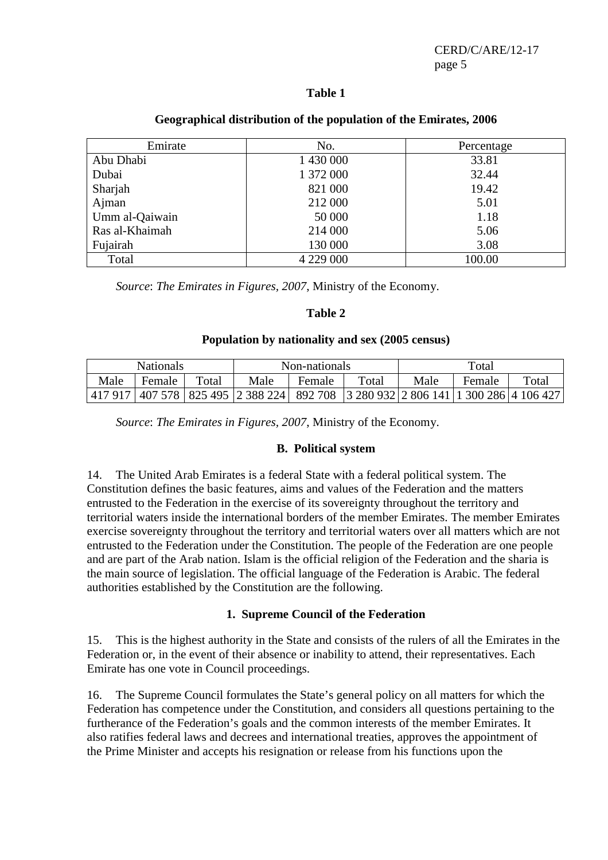### **Table 1**

| Emirate        | No.       | Percentage |
|----------------|-----------|------------|
| Abu Dhabi      | 1 430 000 | 33.81      |
| Dubai          | 1 372 000 | 32.44      |
| Sharjah        | 821 000   | 19.42      |
| Ajman          | 212 000   | 5.01       |
| Umm al-Qaiwain | 50 000    | 1.18       |
| Ras al-Khaimah | 214 000   | 5.06       |
| Fujairah       | 130 000   | 3.08       |
| Total          | 4 229 000 | 100.00     |

#### **Geographical distribution of the population of the Emirates, 2006**

*Source*: *The Emirates in Figures, 2007*, Ministry of the Economy.

#### **Table 2**

#### **Population by nationality and sex (2005 census)**

|      | <b>Nationals</b> |       | Non-nationals                                                                                     |        |       | Total |        |       |
|------|------------------|-------|---------------------------------------------------------------------------------------------------|--------|-------|-------|--------|-------|
| Male | Female           | Total | Male                                                                                              | Female | Total | Male  | Female | Total |
|      |                  |       | 417 917   407 578   825 495   2 388 224   892 708   3 280 932   2 806 141   1 300 286   4 106 427 |        |       |       |        |       |

*Source*: *The Emirates in Figures, 2007*, Ministry of the Economy.

### **B. Political system**

14. The United Arab Emirates is a federal State with a federal political system. The Constitution defines the basic features, aims and values of the Federation and the matters entrusted to the Federation in the exercise of its sovereignty throughout the territory and territorial waters inside the international borders of the member Emirates. The member Emirates exercise sovereignty throughout the territory and territorial waters over all matters which are not entrusted to the Federation under the Constitution. The people of the Federation are one people and are part of the Arab nation. Islam is the official religion of the Federation and the sharia is the main source of legislation. The official language of the Federation is Arabic. The federal authorities established by the Constitution are the following.

### **1. Supreme Council of the Federation**

15. This is the highest authority in the State and consists of the rulers of all the Emirates in the Federation or, in the event of their absence or inability to attend, their representatives. Each Emirate has one vote in Council proceedings.

16. The Supreme Council formulates the State's general policy on all matters for which the Federation has competence under the Constitution, and considers all questions pertaining to the furtherance of the Federation's goals and the common interests of the member Emirates. It also ratifies federal laws and decrees and international treaties, approves the appointment of the Prime Minister and accepts his resignation or release from his functions upon the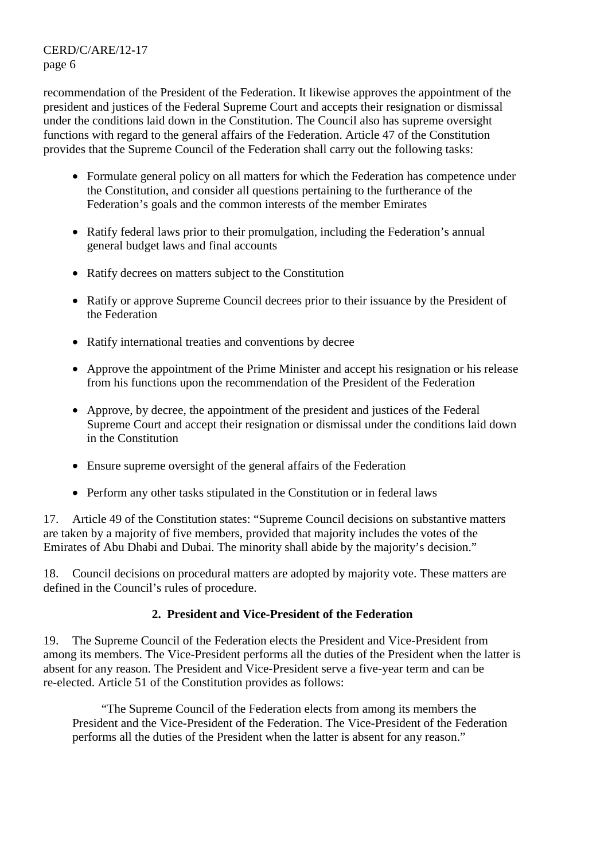recommendation of the President of the Federation. It likewise approves the appointment of the president and justices of the Federal Supreme Court and accepts their resignation or dismissal under the conditions laid down in the Constitution. The Council also has supreme oversight functions with regard to the general affairs of the Federation. Article 47 of the Constitution provides that the Supreme Council of the Federation shall carry out the following tasks:

- Formulate general policy on all matters for which the Federation has competence under the Constitution, and consider all questions pertaining to the furtherance of the Federation's goals and the common interests of the member Emirates
- Ratify federal laws prior to their promulgation, including the Federation's annual general budget laws and final accounts
- Ratify decrees on matters subject to the Constitution
- Ratify or approve Supreme Council decrees prior to their issuance by the President of the Federation
- Ratify international treaties and conventions by decree
- Approve the appointment of the Prime Minister and accept his resignation or his release from his functions upon the recommendation of the President of the Federation
- Approve, by decree, the appointment of the president and justices of the Federal Supreme Court and accept their resignation or dismissal under the conditions laid down in the Constitution
- Ensure supreme oversight of the general affairs of the Federation
- Perform any other tasks stipulated in the Constitution or in federal laws

17. Article 49 of the Constitution states: "Supreme Council decisions on substantive matters are taken by a majority of five members, provided that majority includes the votes of the Emirates of Abu Dhabi and Dubai. The minority shall abide by the majority's decision."

18. Council decisions on procedural matters are adopted by majority vote. These matters are defined in the Council's rules of procedure.

### **2. President and Vice-President of the Federation**

19. The Supreme Council of the Federation elects the President and Vice-President from among its members. The Vice-President performs all the duties of the President when the latter is absent for any reason. The President and Vice-President serve a five-year term and can be re-elected. Article 51 of the Constitution provides as follows:

 "The Supreme Council of the Federation elects from among its members the President and the Vice-President of the Federation. The Vice-President of the Federation performs all the duties of the President when the latter is absent for any reason."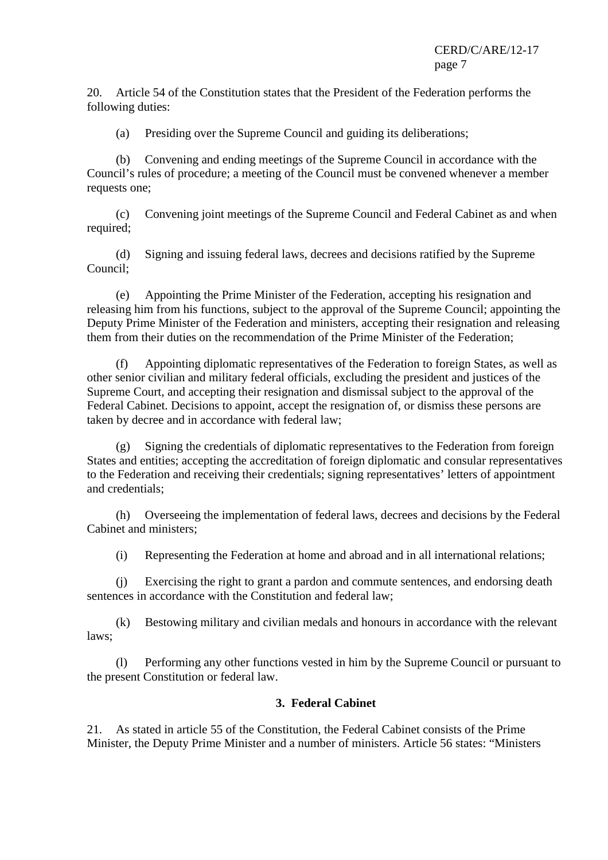20. Article 54 of the Constitution states that the President of the Federation performs the following duties:

(a) Presiding over the Supreme Council and guiding its deliberations;

 (b) Convening and ending meetings of the Supreme Council in accordance with the Council's rules of procedure; a meeting of the Council must be convened whenever a member requests one;

 (c) Convening joint meetings of the Supreme Council and Federal Cabinet as and when required;

 (d) Signing and issuing federal laws, decrees and decisions ratified by the Supreme Council;

 (e) Appointing the Prime Minister of the Federation, accepting his resignation and releasing him from his functions, subject to the approval of the Supreme Council; appointing the Deputy Prime Minister of the Federation and ministers, accepting their resignation and releasing them from their duties on the recommendation of the Prime Minister of the Federation;

 (f) Appointing diplomatic representatives of the Federation to foreign States, as well as other senior civilian and military federal officials, excluding the president and justices of the Supreme Court, and accepting their resignation and dismissal subject to the approval of the Federal Cabinet. Decisions to appoint, accept the resignation of, or dismiss these persons are taken by decree and in accordance with federal law;

 (g) Signing the credentials of diplomatic representatives to the Federation from foreign States and entities; accepting the accreditation of foreign diplomatic and consular representatives to the Federation and receiving their credentials; signing representatives' letters of appointment and credentials;

 (h) Overseeing the implementation of federal laws, decrees and decisions by the Federal Cabinet and ministers;

(i) Representing the Federation at home and abroad and in all international relations;

 (j) Exercising the right to grant a pardon and commute sentences, and endorsing death sentences in accordance with the Constitution and federal law;

 (k) Bestowing military and civilian medals and honours in accordance with the relevant laws;

 (l) Performing any other functions vested in him by the Supreme Council or pursuant to the present Constitution or federal law.

### **3. Federal Cabinet**

21. As stated in article 55 of the Constitution, the Federal Cabinet consists of the Prime Minister, the Deputy Prime Minister and a number of ministers. Article 56 states: "Ministers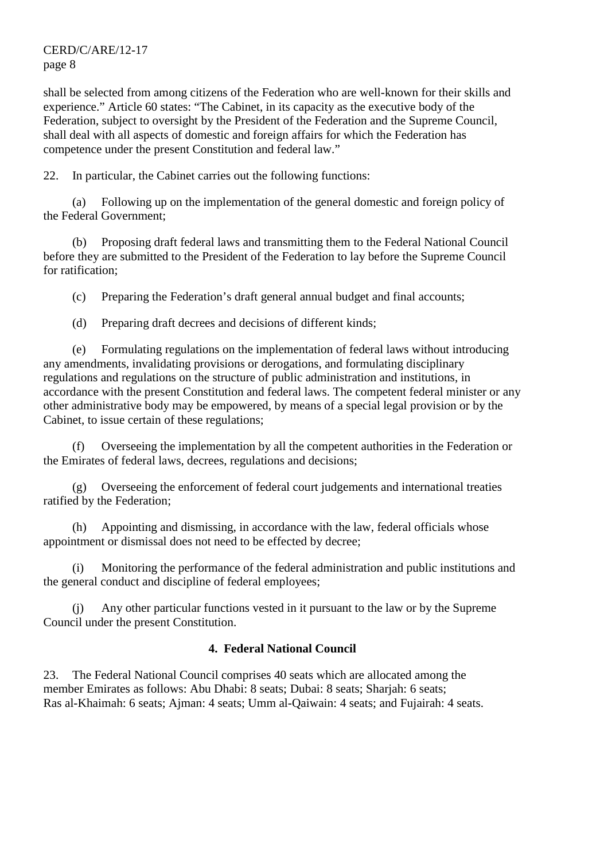shall be selected from among citizens of the Federation who are well-known for their skills and experience." Article 60 states: "The Cabinet, in its capacity as the executive body of the Federation, subject to oversight by the President of the Federation and the Supreme Council, shall deal with all aspects of domestic and foreign affairs for which the Federation has competence under the present Constitution and federal law."

22. In particular, the Cabinet carries out the following functions:

 (a) Following up on the implementation of the general domestic and foreign policy of the Federal Government;

 (b) Proposing draft federal laws and transmitting them to the Federal National Council before they are submitted to the President of the Federation to lay before the Supreme Council for ratification;

(c) Preparing the Federation's draft general annual budget and final accounts;

(d) Preparing draft decrees and decisions of different kinds;

 (e) Formulating regulations on the implementation of federal laws without introducing any amendments, invalidating provisions or derogations, and formulating disciplinary regulations and regulations on the structure of public administration and institutions, in accordance with the present Constitution and federal laws. The competent federal minister or any other administrative body may be empowered, by means of a special legal provision or by the Cabinet, to issue certain of these regulations;

 (f) Overseeing the implementation by all the competent authorities in the Federation or the Emirates of federal laws, decrees, regulations and decisions;

 (g) Overseeing the enforcement of federal court judgements and international treaties ratified by the Federation;

 (h) Appointing and dismissing, in accordance with the law, federal officials whose appointment or dismissal does not need to be effected by decree;

 (i) Monitoring the performance of the federal administration and public institutions and the general conduct and discipline of federal employees;

 (j) Any other particular functions vested in it pursuant to the law or by the Supreme Council under the present Constitution.

# **4. Federal National Council**

23. The Federal National Council comprises 40 seats which are allocated among the member Emirates as follows: Abu Dhabi: 8 seats; Dubai: 8 seats; Sharjah: 6 seats; Ras al-Khaimah: 6 seats; Ajman: 4 seats; Umm al-Qaiwain: 4 seats; and Fujairah: 4 seats.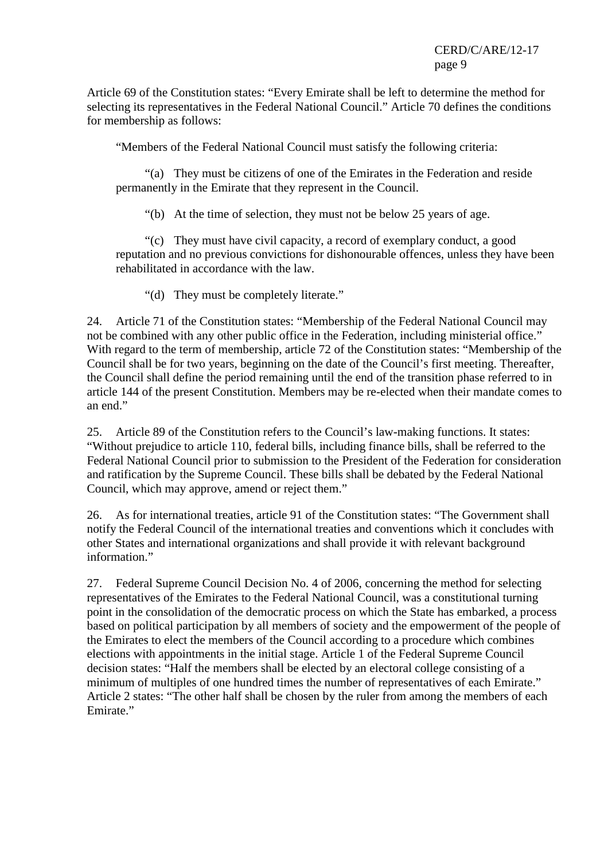Article 69 of the Constitution states: "Every Emirate shall be left to determine the method for selecting its representatives in the Federal National Council." Article 70 defines the conditions for membership as follows:

"Members of the Federal National Council must satisfy the following criteria:

 "(a) They must be citizens of one of the Emirates in the Federation and reside permanently in the Emirate that they represent in the Council.

"(b) At the time of selection, they must not be below 25 years of age.

 "(c) They must have civil capacity, a record of exemplary conduct, a good reputation and no previous convictions for dishonourable offences, unless they have been rehabilitated in accordance with the law.

"(d) They must be completely literate."

24. Article 71 of the Constitution states: "Membership of the Federal National Council may not be combined with any other public office in the Federation, including ministerial office." With regard to the term of membership, article 72 of the Constitution states: "Membership of the Council shall be for two years, beginning on the date of the Council's first meeting. Thereafter, the Council shall define the period remaining until the end of the transition phase referred to in article 144 of the present Constitution. Members may be re-elected when their mandate comes to an end."

25. Article 89 of the Constitution refers to the Council's law-making functions. It states: "Without prejudice to article 110, federal bills, including finance bills, shall be referred to the Federal National Council prior to submission to the President of the Federation for consideration and ratification by the Supreme Council. These bills shall be debated by the Federal National Council, which may approve, amend or reject them."

26. As for international treaties, article 91 of the Constitution states: "The Government shall notify the Federal Council of the international treaties and conventions which it concludes with other States and international organizations and shall provide it with relevant background information."

27. Federal Supreme Council Decision No. 4 of 2006, concerning the method for selecting representatives of the Emirates to the Federal National Council, was a constitutional turning point in the consolidation of the democratic process on which the State has embarked, a process based on political participation by all members of society and the empowerment of the people of the Emirates to elect the members of the Council according to a procedure which combines elections with appointments in the initial stage. Article 1 of the Federal Supreme Council decision states: "Half the members shall be elected by an electoral college consisting of a minimum of multiples of one hundred times the number of representatives of each Emirate." Article 2 states: "The other half shall be chosen by the ruler from among the members of each Emirate."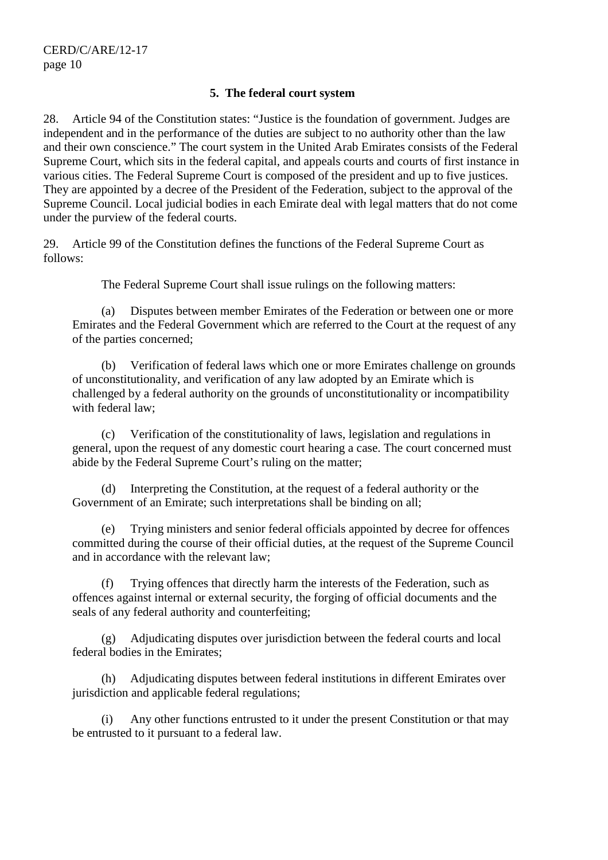#### **5. The federal court system**

28. Article 94 of the Constitution states: "Justice is the foundation of government. Judges are independent and in the performance of the duties are subject to no authority other than the law and their own conscience." The court system in the United Arab Emirates consists of the Federal Supreme Court, which sits in the federal capital, and appeals courts and courts of first instance in various cities. The Federal Supreme Court is composed of the president and up to five justices. They are appointed by a decree of the President of the Federation, subject to the approval of the Supreme Council. Local judicial bodies in each Emirate deal with legal matters that do not come under the purview of the federal courts.

29. Article 99 of the Constitution defines the functions of the Federal Supreme Court as follows:

The Federal Supreme Court shall issue rulings on the following matters:

 (a) Disputes between member Emirates of the Federation or between one or more Emirates and the Federal Government which are referred to the Court at the request of any of the parties concerned;

 (b) Verification of federal laws which one or more Emirates challenge on grounds of unconstitutionality, and verification of any law adopted by an Emirate which is challenged by a federal authority on the grounds of unconstitutionality or incompatibility with federal law;

 (c) Verification of the constitutionality of laws, legislation and regulations in general, upon the request of any domestic court hearing a case. The court concerned must abide by the Federal Supreme Court's ruling on the matter;

 (d) Interpreting the Constitution, at the request of a federal authority or the Government of an Emirate; such interpretations shall be binding on all;

 (e) Trying ministers and senior federal officials appointed by decree for offences committed during the course of their official duties, at the request of the Supreme Council and in accordance with the relevant law;

 (f) Trying offences that directly harm the interests of the Federation, such as offences against internal or external security, the forging of official documents and the seals of any federal authority and counterfeiting;

 (g) Adjudicating disputes over jurisdiction between the federal courts and local federal bodies in the Emirates;

 (h) Adjudicating disputes between federal institutions in different Emirates over jurisdiction and applicable federal regulations;

 (i) Any other functions entrusted to it under the present Constitution or that may be entrusted to it pursuant to a federal law.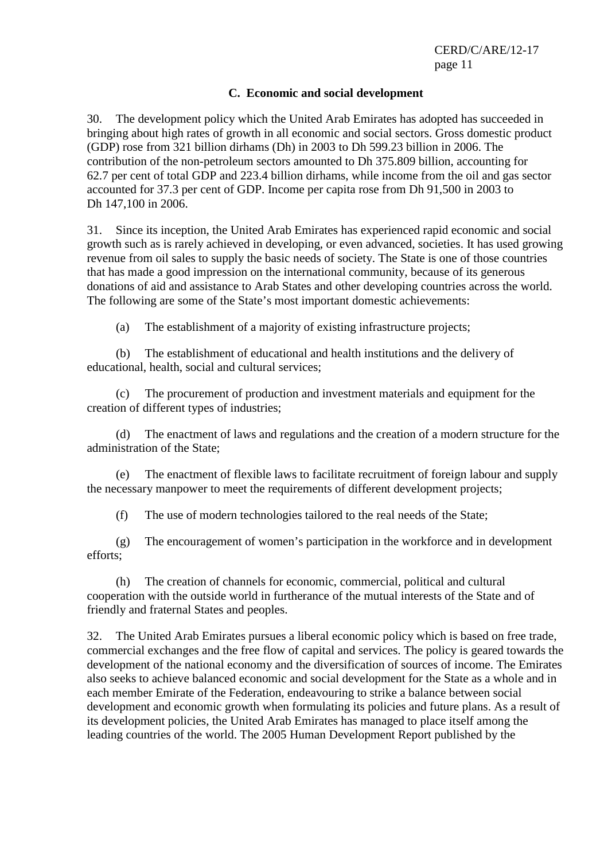#### **C. Economic and social development**

30. The development policy which the United Arab Emirates has adopted has succeeded in bringing about high rates of growth in all economic and social sectors. Gross domestic product (GDP) rose from 321 billion dirhams (Dh) in 2003 to Dh 599.23 billion in 2006. The contribution of the non-petroleum sectors amounted to Dh 375.809 billion, accounting for 62.7 per cent of total GDP and 223.4 billion dirhams, while income from the oil and gas sector accounted for 37.3 per cent of GDP. Income per capita rose from Dh 91,500 in 2003 to Dh 147,100 in 2006.

31. Since its inception, the United Arab Emirates has experienced rapid economic and social growth such as is rarely achieved in developing, or even advanced, societies. It has used growing revenue from oil sales to supply the basic needs of society. The State is one of those countries that has made a good impression on the international community, because of its generous donations of aid and assistance to Arab States and other developing countries across the world. The following are some of the State's most important domestic achievements:

(a) The establishment of a majority of existing infrastructure projects;

 (b) The establishment of educational and health institutions and the delivery of educational, health, social and cultural services;

 (c) The procurement of production and investment materials and equipment for the creation of different types of industries;

 (d) The enactment of laws and regulations and the creation of a modern structure for the administration of the State;

 (e) The enactment of flexible laws to facilitate recruitment of foreign labour and supply the necessary manpower to meet the requirements of different development projects;

(f) The use of modern technologies tailored to the real needs of the State;

 (g) The encouragement of women's participation in the workforce and in development efforts;

 (h) The creation of channels for economic, commercial, political and cultural cooperation with the outside world in furtherance of the mutual interests of the State and of friendly and fraternal States and peoples.

32. The United Arab Emirates pursues a liberal economic policy which is based on free trade, commercial exchanges and the free flow of capital and services. The policy is geared towards the development of the national economy and the diversification of sources of income. The Emirates also seeks to achieve balanced economic and social development for the State as a whole and in each member Emirate of the Federation, endeavouring to strike a balance between social development and economic growth when formulating its policies and future plans. As a result of its development policies, the United Arab Emirates has managed to place itself among the leading countries of the world. The 2005 Human Development Report published by the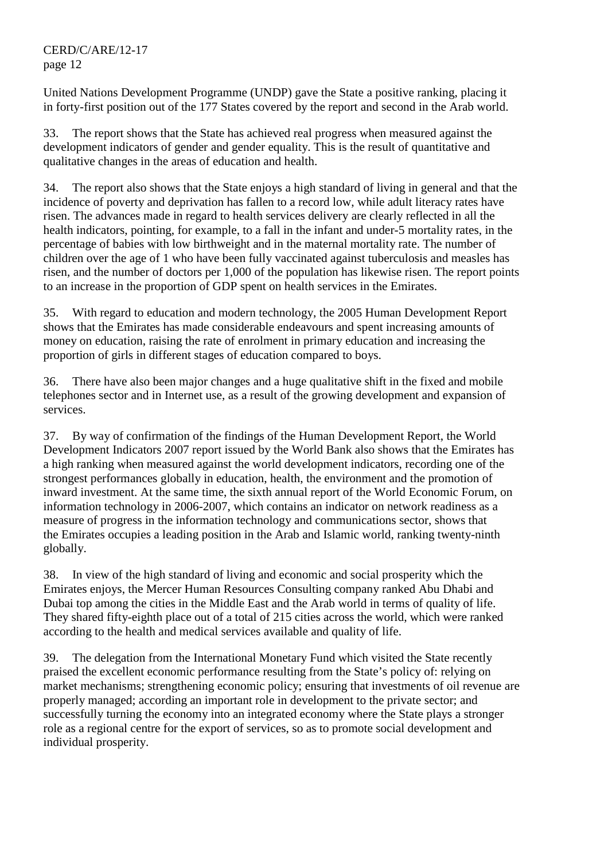United Nations Development Programme (UNDP) gave the State a positive ranking, placing it in forty-first position out of the 177 States covered by the report and second in the Arab world.

33. The report shows that the State has achieved real progress when measured against the development indicators of gender and gender equality. This is the result of quantitative and qualitative changes in the areas of education and health.

34. The report also shows that the State enjoys a high standard of living in general and that the incidence of poverty and deprivation has fallen to a record low, while adult literacy rates have risen. The advances made in regard to health services delivery are clearly reflected in all the health indicators, pointing, for example, to a fall in the infant and under-5 mortality rates, in the percentage of babies with low birthweight and in the maternal mortality rate. The number of children over the age of 1 who have been fully vaccinated against tuberculosis and measles has risen, and the number of doctors per 1,000 of the population has likewise risen. The report points to an increase in the proportion of GDP spent on health services in the Emirates.

35. With regard to education and modern technology, the 2005 Human Development Report shows that the Emirates has made considerable endeavours and spent increasing amounts of money on education, raising the rate of enrolment in primary education and increasing the proportion of girls in different stages of education compared to boys.

36. There have also been major changes and a huge qualitative shift in the fixed and mobile telephones sector and in Internet use, as a result of the growing development and expansion of services.

37. By way of confirmation of the findings of the Human Development Report, the World Development Indicators 2007 report issued by the World Bank also shows that the Emirates has a high ranking when measured against the world development indicators, recording one of the strongest performances globally in education, health, the environment and the promotion of inward investment. At the same time, the sixth annual report of the World Economic Forum, on information technology in 2006-2007, which contains an indicator on network readiness as a measure of progress in the information technology and communications sector, shows that the Emirates occupies a leading position in the Arab and Islamic world, ranking twenty-ninth globally.

38. In view of the high standard of living and economic and social prosperity which the Emirates enjoys, the Mercer Human Resources Consulting company ranked Abu Dhabi and Dubai top among the cities in the Middle East and the Arab world in terms of quality of life. They shared fifty-eighth place out of a total of 215 cities across the world, which were ranked according to the health and medical services available and quality of life.

39. The delegation from the International Monetary Fund which visited the State recently praised the excellent economic performance resulting from the State's policy of: relying on market mechanisms; strengthening economic policy; ensuring that investments of oil revenue are properly managed; according an important role in development to the private sector; and successfully turning the economy into an integrated economy where the State plays a stronger role as a regional centre for the export of services, so as to promote social development and individual prosperity.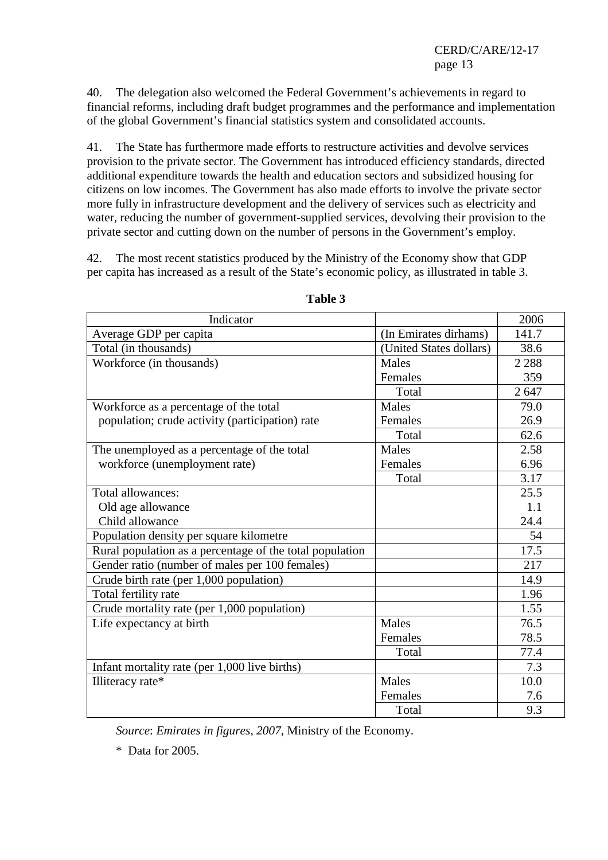40. The delegation also welcomed the Federal Government's achievements in regard to financial reforms, including draft budget programmes and the performance and implementation of the global Government's financial statistics system and consolidated accounts.

41. The State has furthermore made efforts to restructure activities and devolve services provision to the private sector. The Government has introduced efficiency standards, directed additional expenditure towards the health and education sectors and subsidized housing for citizens on low incomes. The Government has also made efforts to involve the private sector more fully in infrastructure development and the delivery of services such as electricity and water, reducing the number of government-supplied services, devolving their provision to the private sector and cutting down on the number of persons in the Government's employ.

42. The most recent statistics produced by the Ministry of the Economy show that GDP per capita has increased as a result of the State's economic policy, as illustrated in table 3.

| Indicator                                                |                         | 2006    |
|----------------------------------------------------------|-------------------------|---------|
| Average GDP per capita                                   | (In Emirates dirhams)   | 141.7   |
| Total (in thousands)                                     | (United States dollars) | 38.6    |
| Workforce (in thousands)                                 | <b>Males</b>            | 2 2 8 8 |
|                                                          | Females                 | 359     |
|                                                          | Total                   | 2647    |
| Workforce as a percentage of the total                   | <b>Males</b>            | 79.0    |
| population; crude activity (participation) rate          | Females                 | 26.9    |
|                                                          | Total                   | 62.6    |
| The unemployed as a percentage of the total              | Males                   | 2.58    |
| workforce (unemployment rate)                            | Females                 | 6.96    |
|                                                          | Total                   | 3.17    |
| Total allowances:                                        |                         | 25.5    |
| Old age allowance                                        |                         | 1.1     |
| Child allowance                                          |                         | 24.4    |
| Population density per square kilometre                  |                         | 54      |
| Rural population as a percentage of the total population |                         | 17.5    |
| Gender ratio (number of males per 100 females)           |                         | 217     |
| Crude birth rate (per 1,000 population)                  |                         | 14.9    |
| Total fertility rate                                     |                         | 1.96    |
| Crude mortality rate (per 1,000 population)              |                         | 1.55    |
| Life expectancy at birth                                 | Males                   | 76.5    |
|                                                          | Females                 | 78.5    |
|                                                          | Total                   | 77.4    |
| Infant mortality rate (per 1,000 live births)            |                         | 7.3     |
| Illiteracy rate*                                         | Males                   | 10.0    |
|                                                          | Females                 | 7.6     |
|                                                          | Total                   | 9.3     |

**Table 3** 

*Source*: *Emirates in figures, 2007*, Ministry of the Economy.

\* Data for 2005.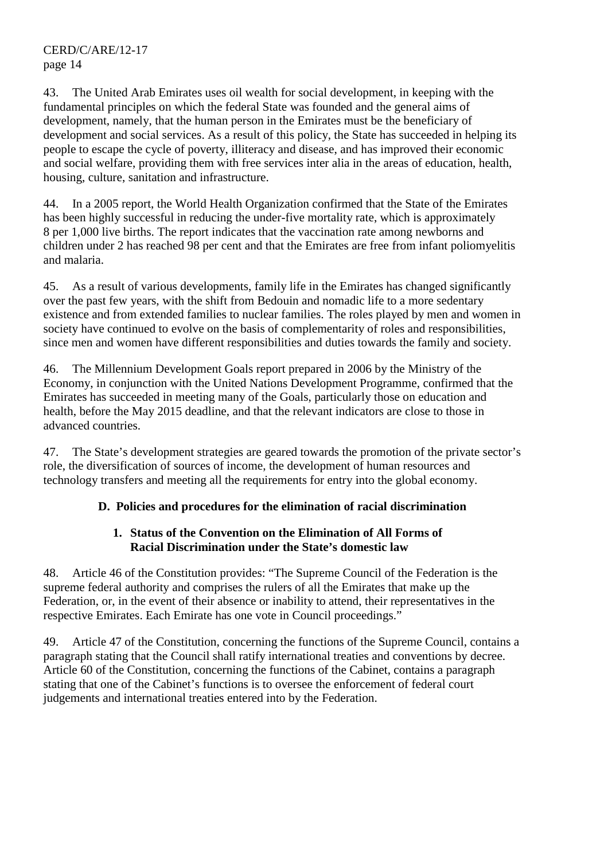43. The United Arab Emirates uses oil wealth for social development, in keeping with the fundamental principles on which the federal State was founded and the general aims of development, namely, that the human person in the Emirates must be the beneficiary of development and social services. As a result of this policy, the State has succeeded in helping its people to escape the cycle of poverty, illiteracy and disease, and has improved their economic and social welfare, providing them with free services inter alia in the areas of education, health, housing, culture, sanitation and infrastructure.

44. In a 2005 report, the World Health Organization confirmed that the State of the Emirates has been highly successful in reducing the under-five mortality rate, which is approximately 8 per 1,000 live births. The report indicates that the vaccination rate among newborns and children under 2 has reached 98 per cent and that the Emirates are free from infant poliomyelitis and malaria.

45. As a result of various developments, family life in the Emirates has changed significantly over the past few years, with the shift from Bedouin and nomadic life to a more sedentary existence and from extended families to nuclear families. The roles played by men and women in society have continued to evolve on the basis of complementarity of roles and responsibilities, since men and women have different responsibilities and duties towards the family and society.

46. The Millennium Development Goals report prepared in 2006 by the Ministry of the Economy, in conjunction with the United Nations Development Programme, confirmed that the Emirates has succeeded in meeting many of the Goals, particularly those on education and health, before the May 2015 deadline, and that the relevant indicators are close to those in advanced countries.

47. The State's development strategies are geared towards the promotion of the private sector's role, the diversification of sources of income, the development of human resources and technology transfers and meeting all the requirements for entry into the global economy.

# **D. Policies and procedures for the elimination of racial discrimination**

### **1. Status of the Convention on the Elimination of All Forms of Racial Discrimination under the State's domestic law**

48. Article 46 of the Constitution provides: "The Supreme Council of the Federation is the supreme federal authority and comprises the rulers of all the Emirates that make up the Federation, or, in the event of their absence or inability to attend, their representatives in the respective Emirates. Each Emirate has one vote in Council proceedings."

49. Article 47 of the Constitution, concerning the functions of the Supreme Council, contains a paragraph stating that the Council shall ratify international treaties and conventions by decree. Article 60 of the Constitution, concerning the functions of the Cabinet, contains a paragraph stating that one of the Cabinet's functions is to oversee the enforcement of federal court judgements and international treaties entered into by the Federation.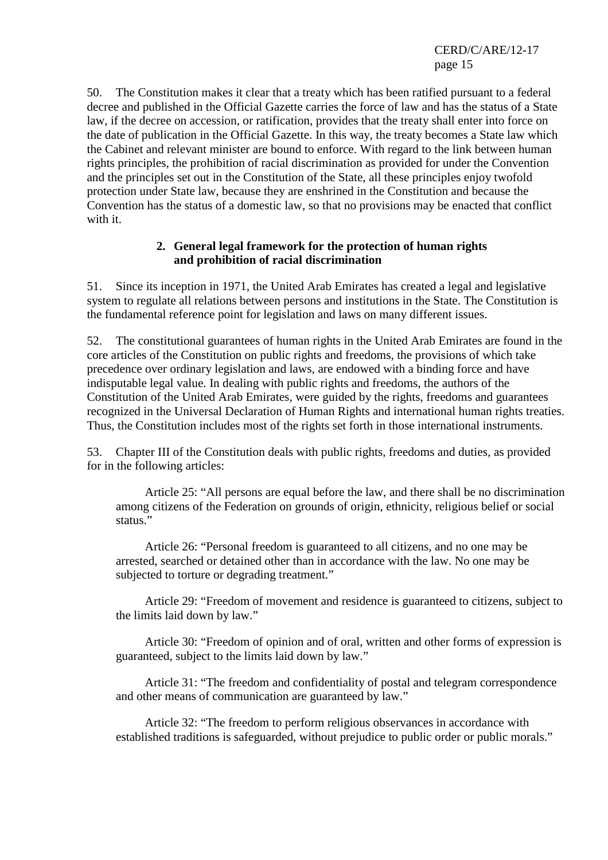50. The Constitution makes it clear that a treaty which has been ratified pursuant to a federal decree and published in the Official Gazette carries the force of law and has the status of a State law, if the decree on accession, or ratification, provides that the treaty shall enter into force on the date of publication in the Official Gazette. In this way, the treaty becomes a State law which the Cabinet and relevant minister are bound to enforce. With regard to the link between human rights principles, the prohibition of racial discrimination as provided for under the Convention and the principles set out in the Constitution of the State, all these principles enjoy twofold protection under State law, because they are enshrined in the Constitution and because the Convention has the status of a domestic law, so that no provisions may be enacted that conflict with it.

#### **2. General legal framework for the protection of human rights and prohibition of racial discrimination**

51. Since its inception in 1971, the United Arab Emirates has created a legal and legislative system to regulate all relations between persons and institutions in the State. The Constitution is the fundamental reference point for legislation and laws on many different issues.

52. The constitutional guarantees of human rights in the United Arab Emirates are found in the core articles of the Constitution on public rights and freedoms, the provisions of which take precedence over ordinary legislation and laws, are endowed with a binding force and have indisputable legal value. In dealing with public rights and freedoms, the authors of the Constitution of the United Arab Emirates, were guided by the rights, freedoms and guarantees recognized in the Universal Declaration of Human Rights and international human rights treaties. Thus, the Constitution includes most of the rights set forth in those international instruments.

53. Chapter III of the Constitution deals with public rights, freedoms and duties, as provided for in the following articles:

 Article 25: "All persons are equal before the law, and there shall be no discrimination among citizens of the Federation on grounds of origin, ethnicity, religious belief or social status."

 Article 26: "Personal freedom is guaranteed to all citizens, and no one may be arrested, searched or detained other than in accordance with the law. No one may be subjected to torture or degrading treatment."

 Article 29: "Freedom of movement and residence is guaranteed to citizens, subject to the limits laid down by law."

 Article 30: "Freedom of opinion and of oral, written and other forms of expression is guaranteed, subject to the limits laid down by law."

 Article 31: "The freedom and confidentiality of postal and telegram correspondence and other means of communication are guaranteed by law."

 Article 32: "The freedom to perform religious observances in accordance with established traditions is safeguarded, without prejudice to public order or public morals."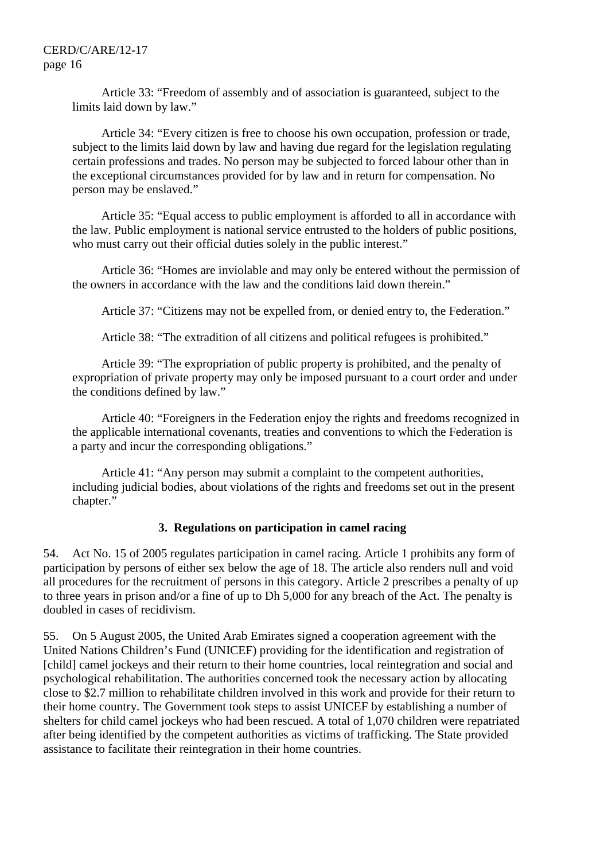Article 33: "Freedom of assembly and of association is guaranteed, subject to the limits laid down by law."

 Article 34: "Every citizen is free to choose his own occupation, profession or trade, subject to the limits laid down by law and having due regard for the legislation regulating certain professions and trades. No person may be subjected to forced labour other than in the exceptional circumstances provided for by law and in return for compensation. No person may be enslaved."

 Article 35: "Equal access to public employment is afforded to all in accordance with the law. Public employment is national service entrusted to the holders of public positions, who must carry out their official duties solely in the public interest."

 Article 36: "Homes are inviolable and may only be entered without the permission of the owners in accordance with the law and the conditions laid down therein."

Article 37: "Citizens may not be expelled from, or denied entry to, the Federation."

Article 38: "The extradition of all citizens and political refugees is prohibited."

 Article 39: "The expropriation of public property is prohibited, and the penalty of expropriation of private property may only be imposed pursuant to a court order and under the conditions defined by law."

 Article 40: "Foreigners in the Federation enjoy the rights and freedoms recognized in the applicable international covenants, treaties and conventions to which the Federation is a party and incur the corresponding obligations."

 Article 41: "Any person may submit a complaint to the competent authorities, including judicial bodies, about violations of the rights and freedoms set out in the present chapter."

#### **3. Regulations on participation in camel racing**

54. Act No. 15 of 2005 regulates participation in camel racing. Article 1 prohibits any form of participation by persons of either sex below the age of 18. The article also renders null and void all procedures for the recruitment of persons in this category. Article 2 prescribes a penalty of up to three years in prison and/or a fine of up to Dh 5,000 for any breach of the Act. The penalty is doubled in cases of recidivism.

55. On 5 August 2005, the United Arab Emirates signed a cooperation agreement with the United Nations Children's Fund (UNICEF) providing for the identification and registration of [child] camel jockeys and their return to their home countries, local reintegration and social and psychological rehabilitation. The authorities concerned took the necessary action by allocating close to \$2.7 million to rehabilitate children involved in this work and provide for their return to their home country. The Government took steps to assist UNICEF by establishing a number of shelters for child camel jockeys who had been rescued. A total of 1,070 children were repatriated after being identified by the competent authorities as victims of trafficking. The State provided assistance to facilitate their reintegration in their home countries.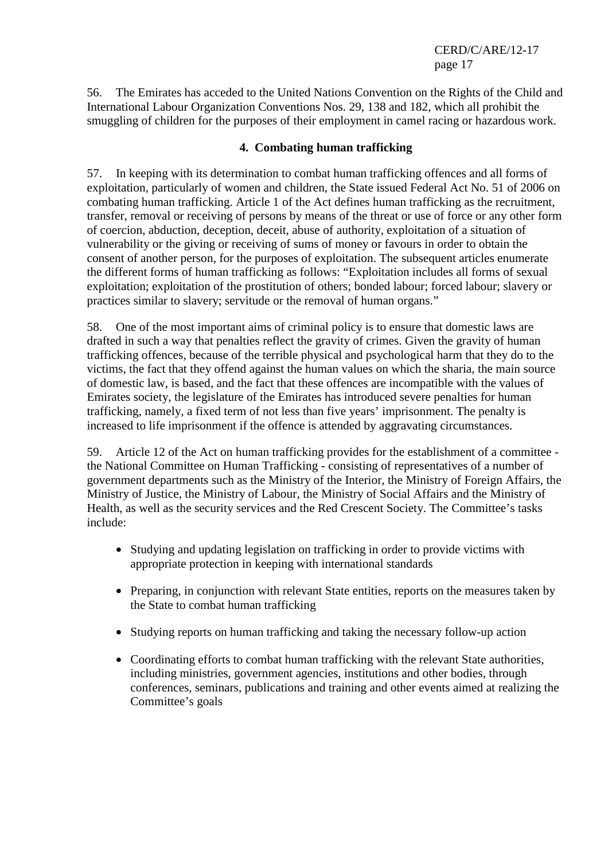56. The Emirates has acceded to the United Nations Convention on the Rights of the Child and International Labour Organization Conventions Nos. 29, 138 and 182, which all prohibit the smuggling of children for the purposes of their employment in camel racing or hazardous work.

### **4. Combating human trafficking**

57. In keeping with its determination to combat human trafficking offences and all forms of exploitation, particularly of women and children, the State issued Federal Act No. 51 of 2006 on combating human trafficking. Article 1 of the Act defines human trafficking as the recruitment, transfer, removal or receiving of persons by means of the threat or use of force or any other form of coercion, abduction, deception, deceit, abuse of authority, exploitation of a situation of vulnerability or the giving or receiving of sums of money or favours in order to obtain the consent of another person, for the purposes of exploitation. The subsequent articles enumerate the different forms of human trafficking as follows: "Exploitation includes all forms of sexual exploitation; exploitation of the prostitution of others; bonded labour; forced labour; slavery or practices similar to slavery; servitude or the removal of human organs."

58. One of the most important aims of criminal policy is to ensure that domestic laws are drafted in such a way that penalties reflect the gravity of crimes. Given the gravity of human trafficking offences, because of the terrible physical and psychological harm that they do to the victims, the fact that they offend against the human values on which the sharia, the main source of domestic law, is based, and the fact that these offences are incompatible with the values of Emirates society, the legislature of the Emirates has introduced severe penalties for human trafficking, namely, a fixed term of not less than five years' imprisonment. The penalty is increased to life imprisonment if the offence is attended by aggravating circumstances.

59. Article 12 of the Act on human trafficking provides for the establishment of a committee the National Committee on Human Trafficking - consisting of representatives of a number of government departments such as the Ministry of the Interior, the Ministry of Foreign Affairs, the Ministry of Justice, the Ministry of Labour, the Ministry of Social Affairs and the Ministry of Health, as well as the security services and the Red Crescent Society. The Committee's tasks include:

- Studying and updating legislation on trafficking in order to provide victims with appropriate protection in keeping with international standards
- Preparing, in conjunction with relevant State entities, reports on the measures taken by the State to combat human trafficking
- Studying reports on human trafficking and taking the necessary follow-up action
- Coordinating efforts to combat human trafficking with the relevant State authorities, including ministries, government agencies, institutions and other bodies, through conferences, seminars, publications and training and other events aimed at realizing the Committee's goals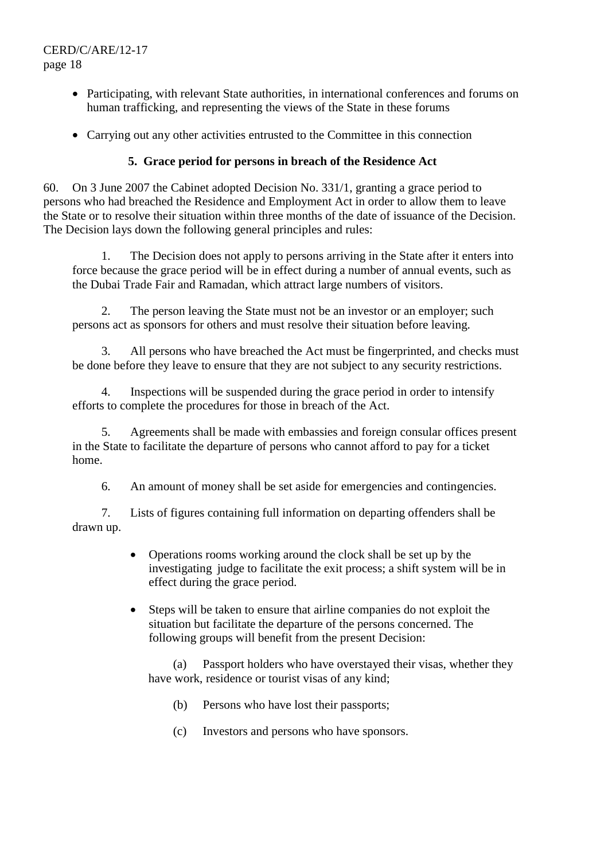- Participating, with relevant State authorities, in international conferences and forums on human trafficking, and representing the views of the State in these forums
- Carrying out any other activities entrusted to the Committee in this connection

### **5. Grace period for persons in breach of the Residence Act**

60. On 3 June 2007 the Cabinet adopted Decision No. 331/1, granting a grace period to persons who had breached the Residence and Employment Act in order to allow them to leave the State or to resolve their situation within three months of the date of issuance of the Decision. The Decision lays down the following general principles and rules:

 1. The Decision does not apply to persons arriving in the State after it enters into force because the grace period will be in effect during a number of annual events, such as the Dubai Trade Fair and Ramadan, which attract large numbers of visitors.

 2. The person leaving the State must not be an investor or an employer; such persons act as sponsors for others and must resolve their situation before leaving.

 3. All persons who have breached the Act must be fingerprinted, and checks must be done before they leave to ensure that they are not subject to any security restrictions.

 4. Inspections will be suspended during the grace period in order to intensify efforts to complete the procedures for those in breach of the Act.

 5. Agreements shall be made with embassies and foreign consular offices present in the State to facilitate the departure of persons who cannot afford to pay for a ticket home.

6. An amount of money shall be set aside for emergencies and contingencies.

 7. Lists of figures containing full information on departing offenders shall be drawn up.

- Operations rooms working around the clock shall be set up by the investigating judge to facilitate the exit process; a shift system will be in effect during the grace period.
- Steps will be taken to ensure that airline companies do not exploit the situation but facilitate the departure of the persons concerned. The following groups will benefit from the present Decision:

(a) Passport holders who have overstayed their visas, whether they have work, residence or tourist visas of any kind;

- (b) Persons who have lost their passports;
- (c) Investors and persons who have sponsors.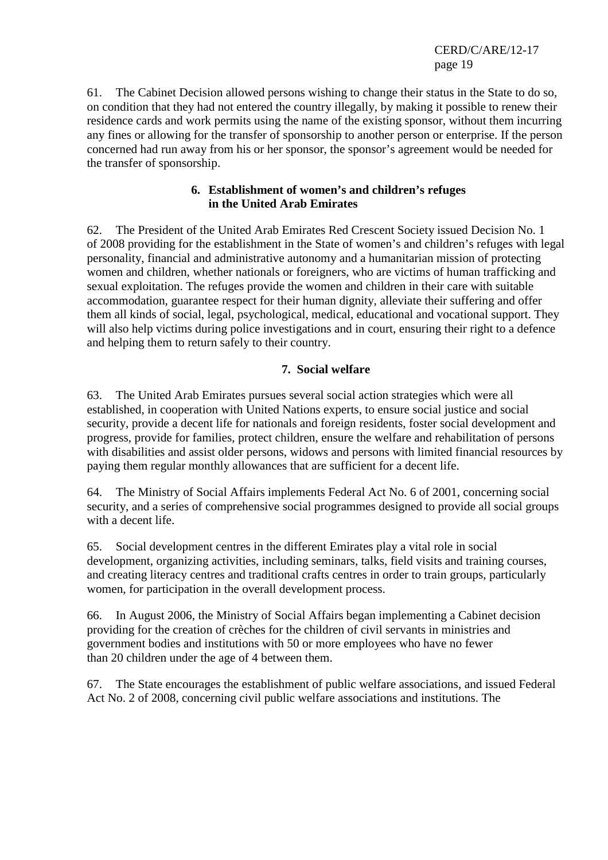61. The Cabinet Decision allowed persons wishing to change their status in the State to do so, on condition that they had not entered the country illegally, by making it possible to renew their residence cards and work permits using the name of the existing sponsor, without them incurring any fines or allowing for the transfer of sponsorship to another person or enterprise. If the person concerned had run away from his or her sponsor, the sponsor's agreement would be needed for the transfer of sponsorship.

### **6. Establishment of women's and children's refuges in the United Arab Emirates**

62. The President of the United Arab Emirates Red Crescent Society issued Decision No. 1 of 2008 providing for the establishment in the State of women's and children's refuges with legal personality, financial and administrative autonomy and a humanitarian mission of protecting women and children, whether nationals or foreigners, who are victims of human trafficking and sexual exploitation. The refuges provide the women and children in their care with suitable accommodation, guarantee respect for their human dignity, alleviate their suffering and offer them all kinds of social, legal, psychological, medical, educational and vocational support. They will also help victims during police investigations and in court, ensuring their right to a defence and helping them to return safely to their country.

# **7. Social welfare**

63. The United Arab Emirates pursues several social action strategies which were all established, in cooperation with United Nations experts, to ensure social justice and social security, provide a decent life for nationals and foreign residents, foster social development and progress, provide for families, protect children, ensure the welfare and rehabilitation of persons with disabilities and assist older persons, widows and persons with limited financial resources by paying them regular monthly allowances that are sufficient for a decent life.

64. The Ministry of Social Affairs implements Federal Act No. 6 of 2001, concerning social security, and a series of comprehensive social programmes designed to provide all social groups with a decent life.

65. Social development centres in the different Emirates play a vital role in social development, organizing activities, including seminars, talks, field visits and training courses, and creating literacy centres and traditional crafts centres in order to train groups, particularly women, for participation in the overall development process.

66. In August 2006, the Ministry of Social Affairs began implementing a Cabinet decision providing for the creation of crèches for the children of civil servants in ministries and government bodies and institutions with 50 or more employees who have no fewer than 20 children under the age of 4 between them.

67. The State encourages the establishment of public welfare associations, and issued Federal Act No. 2 of 2008, concerning civil public welfare associations and institutions. The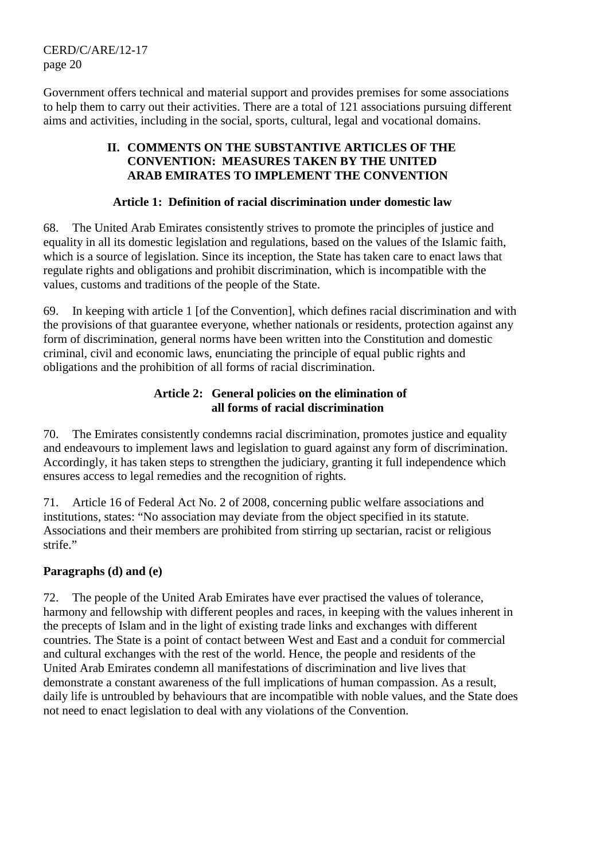Government offers technical and material support and provides premises for some associations to help them to carry out their activities. There are a total of 121 associations pursuing different aims and activities, including in the social, sports, cultural, legal and vocational domains.

### **II. COMMENTS ON THE SUBSTANTIVE ARTICLES OF THE CONVENTION: MEASURES TAKEN BY THE UNITED ARAB EMIRATES TO IMPLEMENT THE CONVENTION**

### **Article 1: Definition of racial discrimination under domestic law**

68. The United Arab Emirates consistently strives to promote the principles of justice and equality in all its domestic legislation and regulations, based on the values of the Islamic faith, which is a source of legislation. Since its inception, the State has taken care to enact laws that regulate rights and obligations and prohibit discrimination, which is incompatible with the values, customs and traditions of the people of the State.

69. In keeping with article 1 [of the Convention], which defines racial discrimination and with the provisions of that guarantee everyone, whether nationals or residents, protection against any form of discrimination, general norms have been written into the Constitution and domestic criminal, civil and economic laws, enunciating the principle of equal public rights and obligations and the prohibition of all forms of racial discrimination.

### **Article 2: General policies on the elimination of all forms of racial discrimination**

70. The Emirates consistently condemns racial discrimination, promotes justice and equality and endeavours to implement laws and legislation to guard against any form of discrimination. Accordingly, it has taken steps to strengthen the judiciary, granting it full independence which ensures access to legal remedies and the recognition of rights.

71. Article 16 of Federal Act No. 2 of 2008, concerning public welfare associations and institutions, states: "No association may deviate from the object specified in its statute. Associations and their members are prohibited from stirring up sectarian, racist or religious strife."

# **Paragraphs (d) and (e)**

72. The people of the United Arab Emirates have ever practised the values of tolerance, harmony and fellowship with different peoples and races, in keeping with the values inherent in the precepts of Islam and in the light of existing trade links and exchanges with different countries. The State is a point of contact between West and East and a conduit for commercial and cultural exchanges with the rest of the world. Hence, the people and residents of the United Arab Emirates condemn all manifestations of discrimination and live lives that demonstrate a constant awareness of the full implications of human compassion. As a result, daily life is untroubled by behaviours that are incompatible with noble values, and the State does not need to enact legislation to deal with any violations of the Convention.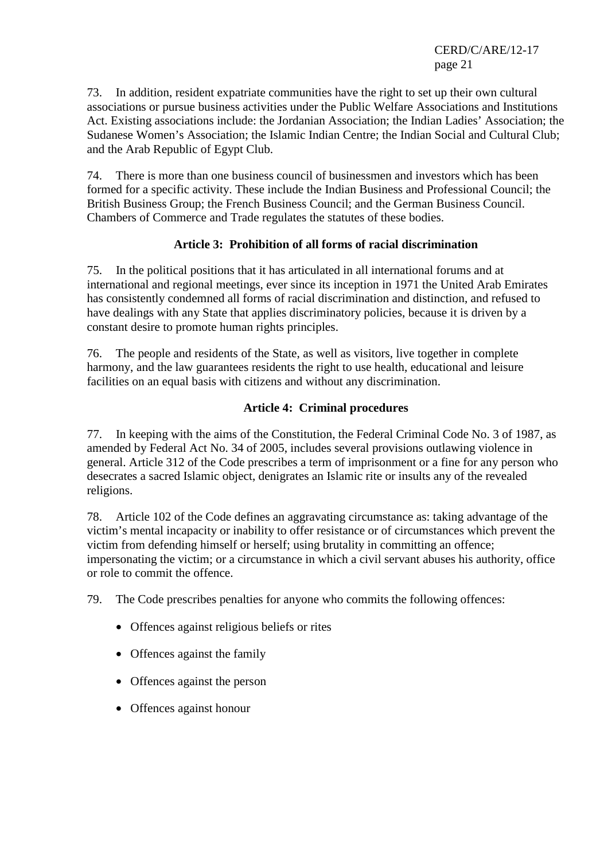73. In addition, resident expatriate communities have the right to set up their own cultural associations or pursue business activities under the Public Welfare Associations and Institutions Act. Existing associations include: the Jordanian Association; the Indian Ladies' Association; the Sudanese Women's Association; the Islamic Indian Centre; the Indian Social and Cultural Club; and the Arab Republic of Egypt Club.

74. There is more than one business council of businessmen and investors which has been formed for a specific activity. These include the Indian Business and Professional Council; the British Business Group; the French Business Council; and the German Business Council. Chambers of Commerce and Trade regulates the statutes of these bodies.

# **Article 3: Prohibition of all forms of racial discrimination**

75. In the political positions that it has articulated in all international forums and at international and regional meetings, ever since its inception in 1971 the United Arab Emirates has consistently condemned all forms of racial discrimination and distinction, and refused to have dealings with any State that applies discriminatory policies, because it is driven by a constant desire to promote human rights principles.

76. The people and residents of the State, as well as visitors, live together in complete harmony, and the law guarantees residents the right to use health, educational and leisure facilities on an equal basis with citizens and without any discrimination.

### **Article 4: Criminal procedures**

77. In keeping with the aims of the Constitution, the Federal Criminal Code No. 3 of 1987, as amended by Federal Act No. 34 of 2005, includes several provisions outlawing violence in general. Article 312 of the Code prescribes a term of imprisonment or a fine for any person who desecrates a sacred Islamic object, denigrates an Islamic rite or insults any of the revealed religions.

78. Article 102 of the Code defines an aggravating circumstance as: taking advantage of the victim's mental incapacity or inability to offer resistance or of circumstances which prevent the victim from defending himself or herself; using brutality in committing an offence; impersonating the victim; or a circumstance in which a civil servant abuses his authority, office or role to commit the offence.

79. The Code prescribes penalties for anyone who commits the following offences:

- Offences against religious beliefs or rites
- Offences against the family
- Offences against the person
- Offences against honour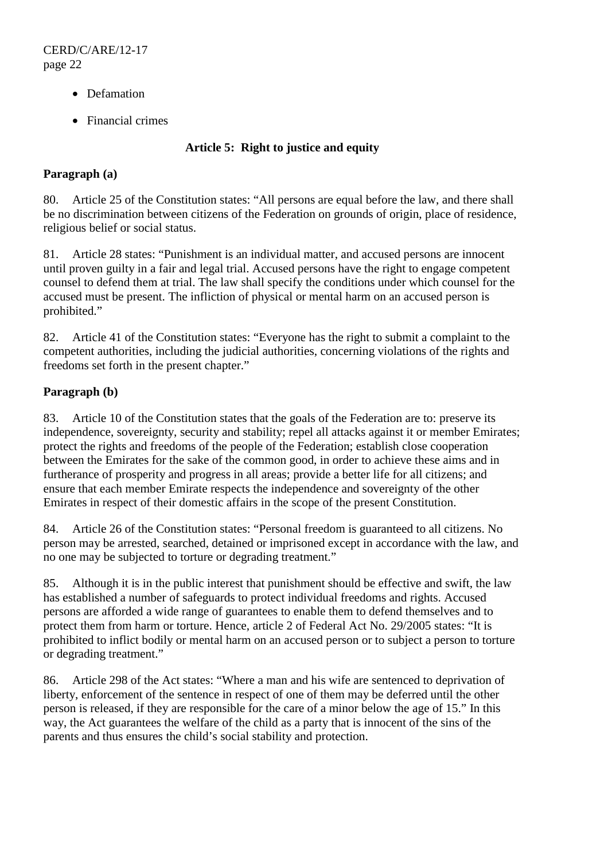- Defamation
- Financial crimes

### **Article 5: Right to justice and equity**

### **Paragraph (a)**

80. Article 25 of the Constitution states: "All persons are equal before the law, and there shall be no discrimination between citizens of the Federation on grounds of origin, place of residence, religious belief or social status.

81. Article 28 states: "Punishment is an individual matter, and accused persons are innocent until proven guilty in a fair and legal trial. Accused persons have the right to engage competent counsel to defend them at trial. The law shall specify the conditions under which counsel for the accused must be present. The infliction of physical or mental harm on an accused person is prohibited."

82. Article 41 of the Constitution states: "Everyone has the right to submit a complaint to the competent authorities, including the judicial authorities, concerning violations of the rights and freedoms set forth in the present chapter."

### **Paragraph (b)**

83. Article 10 of the Constitution states that the goals of the Federation are to: preserve its independence, sovereignty, security and stability; repel all attacks against it or member Emirates; protect the rights and freedoms of the people of the Federation; establish close cooperation between the Emirates for the sake of the common good, in order to achieve these aims and in furtherance of prosperity and progress in all areas; provide a better life for all citizens; and ensure that each member Emirate respects the independence and sovereignty of the other Emirates in respect of their domestic affairs in the scope of the present Constitution.

84. Article 26 of the Constitution states: "Personal freedom is guaranteed to all citizens. No person may be arrested, searched, detained or imprisoned except in accordance with the law, and no one may be subjected to torture or degrading treatment."

85. Although it is in the public interest that punishment should be effective and swift, the law has established a number of safeguards to protect individual freedoms and rights. Accused persons are afforded a wide range of guarantees to enable them to defend themselves and to protect them from harm or torture. Hence, article 2 of Federal Act No. 29/2005 states: "It is prohibited to inflict bodily or mental harm on an accused person or to subject a person to torture or degrading treatment."

86. Article 298 of the Act states: "Where a man and his wife are sentenced to deprivation of liberty, enforcement of the sentence in respect of one of them may be deferred until the other person is released, if they are responsible for the care of a minor below the age of 15." In this way, the Act guarantees the welfare of the child as a party that is innocent of the sins of the parents and thus ensures the child's social stability and protection.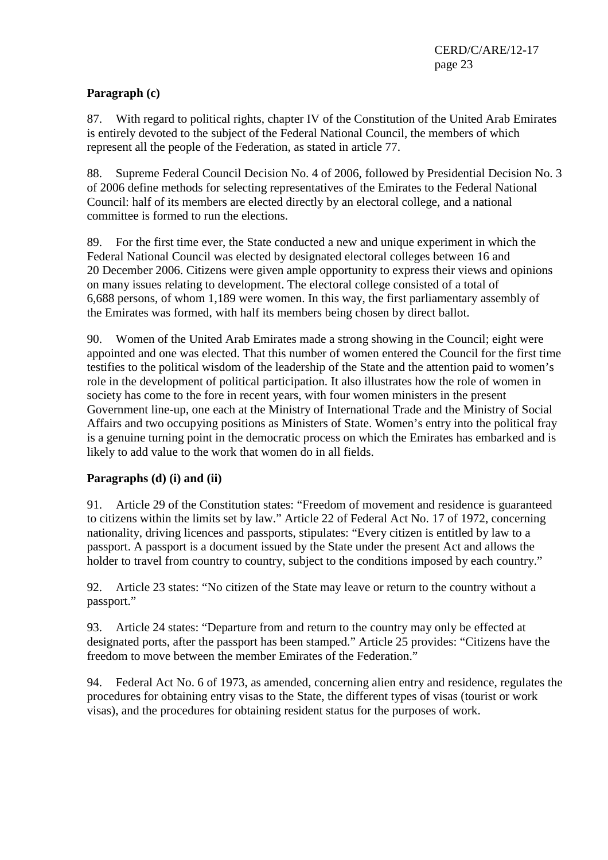# **Paragraph (c)**

87. With regard to political rights, chapter IV of the Constitution of the United Arab Emirates is entirely devoted to the subject of the Federal National Council, the members of which represent all the people of the Federation, as stated in article 77.

88. Supreme Federal Council Decision No. 4 of 2006, followed by Presidential Decision No. 3 of 2006 define methods for selecting representatives of the Emirates to the Federal National Council: half of its members are elected directly by an electoral college, and a national committee is formed to run the elections.

89. For the first time ever, the State conducted a new and unique experiment in which the Federal National Council was elected by designated electoral colleges between 16 and 20 December 2006. Citizens were given ample opportunity to express their views and opinions on many issues relating to development. The electoral college consisted of a total of 6,688 persons, of whom 1,189 were women. In this way, the first parliamentary assembly of the Emirates was formed, with half its members being chosen by direct ballot.

90. Women of the United Arab Emirates made a strong showing in the Council; eight were appointed and one was elected. That this number of women entered the Council for the first time testifies to the political wisdom of the leadership of the State and the attention paid to women's role in the development of political participation. It also illustrates how the role of women in society has come to the fore in recent years, with four women ministers in the present Government line-up, one each at the Ministry of International Trade and the Ministry of Social Affairs and two occupying positions as Ministers of State. Women's entry into the political fray is a genuine turning point in the democratic process on which the Emirates has embarked and is likely to add value to the work that women do in all fields.

# **Paragraphs (d) (i) and (ii)**

91. Article 29 of the Constitution states: "Freedom of movement and residence is guaranteed to citizens within the limits set by law." Article 22 of Federal Act No. 17 of 1972, concerning nationality, driving licences and passports, stipulates: "Every citizen is entitled by law to a passport. A passport is a document issued by the State under the present Act and allows the holder to travel from country to country, subject to the conditions imposed by each country."

92. Article 23 states: "No citizen of the State may leave or return to the country without a passport."

93. Article 24 states: "Departure from and return to the country may only be effected at designated ports, after the passport has been stamped." Article 25 provides: "Citizens have the freedom to move between the member Emirates of the Federation."

94. Federal Act No. 6 of 1973, as amended, concerning alien entry and residence, regulates the procedures for obtaining entry visas to the State, the different types of visas (tourist or work visas), and the procedures for obtaining resident status for the purposes of work.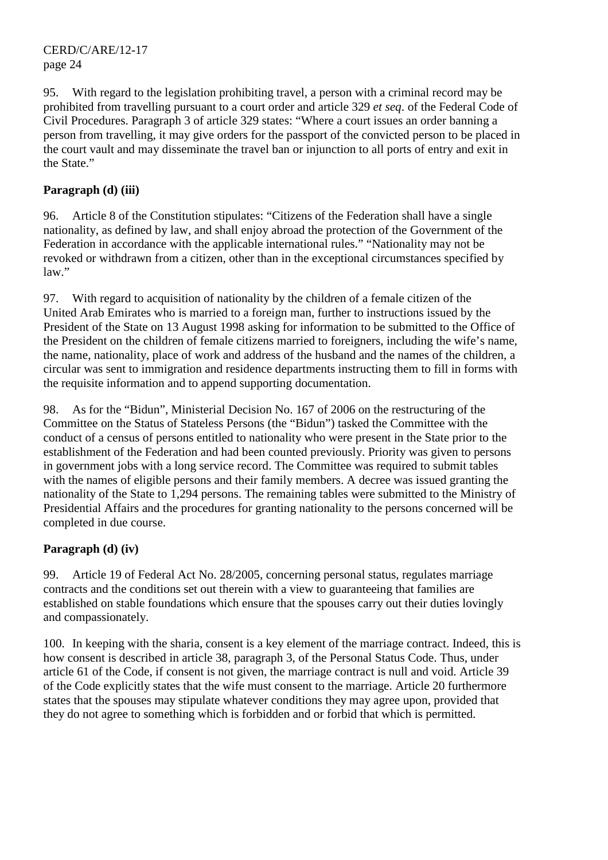95. With regard to the legislation prohibiting travel, a person with a criminal record may be prohibited from travelling pursuant to a court order and article 329 *et seq*. of the Federal Code of Civil Procedures. Paragraph 3 of article 329 states: "Where a court issues an order banning a person from travelling, it may give orders for the passport of the convicted person to be placed in the court vault and may disseminate the travel ban or injunction to all ports of entry and exit in the State."

### **Paragraph (d) (iii)**

96. Article 8 of the Constitution stipulates: "Citizens of the Federation shall have a single nationality, as defined by law, and shall enjoy abroad the protection of the Government of the Federation in accordance with the applicable international rules." "Nationality may not be revoked or withdrawn from a citizen, other than in the exceptional circumstances specified by law."

97. With regard to acquisition of nationality by the children of a female citizen of the United Arab Emirates who is married to a foreign man, further to instructions issued by the President of the State on 13 August 1998 asking for information to be submitted to the Office of the President on the children of female citizens married to foreigners, including the wife's name, the name, nationality, place of work and address of the husband and the names of the children, a circular was sent to immigration and residence departments instructing them to fill in forms with the requisite information and to append supporting documentation.

98. As for the "Bidun", Ministerial Decision No. 167 of 2006 on the restructuring of the Committee on the Status of Stateless Persons (the "Bidun") tasked the Committee with the conduct of a census of persons entitled to nationality who were present in the State prior to the establishment of the Federation and had been counted previously. Priority was given to persons in government jobs with a long service record. The Committee was required to submit tables with the names of eligible persons and their family members. A decree was issued granting the nationality of the State to 1,294 persons. The remaining tables were submitted to the Ministry of Presidential Affairs and the procedures for granting nationality to the persons concerned will be completed in due course.

# **Paragraph (d) (iv)**

99. Article 19 of Federal Act No. 28/2005, concerning personal status, regulates marriage contracts and the conditions set out therein with a view to guaranteeing that families are established on stable foundations which ensure that the spouses carry out their duties lovingly and compassionately.

100. In keeping with the sharia, consent is a key element of the marriage contract. Indeed, this is how consent is described in article 38, paragraph 3, of the Personal Status Code. Thus, under article 61 of the Code, if consent is not given, the marriage contract is null and void. Article 39 of the Code explicitly states that the wife must consent to the marriage. Article 20 furthermore states that the spouses may stipulate whatever conditions they may agree upon, provided that they do not agree to something which is forbidden and or forbid that which is permitted.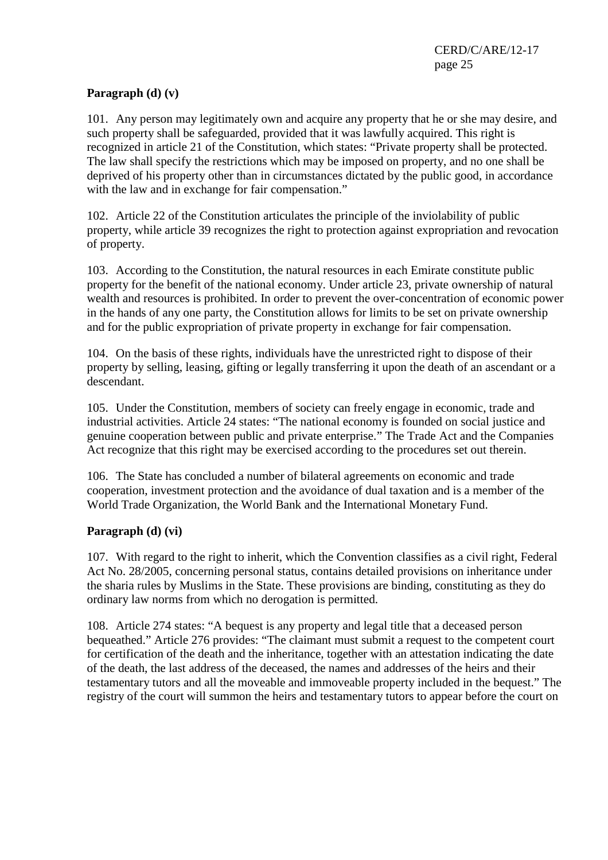### **Paragraph (d) (v)**

101. Any person may legitimately own and acquire any property that he or she may desire, and such property shall be safeguarded, provided that it was lawfully acquired. This right is recognized in article 21 of the Constitution, which states: "Private property shall be protected. The law shall specify the restrictions which may be imposed on property, and no one shall be deprived of his property other than in circumstances dictated by the public good, in accordance with the law and in exchange for fair compensation."

102. Article 22 of the Constitution articulates the principle of the inviolability of public property, while article 39 recognizes the right to protection against expropriation and revocation of property.

103. According to the Constitution, the natural resources in each Emirate constitute public property for the benefit of the national economy. Under article 23, private ownership of natural wealth and resources is prohibited. In order to prevent the over-concentration of economic power in the hands of any one party, the Constitution allows for limits to be set on private ownership and for the public expropriation of private property in exchange for fair compensation.

104. On the basis of these rights, individuals have the unrestricted right to dispose of their property by selling, leasing, gifting or legally transferring it upon the death of an ascendant or a descendant.

105. Under the Constitution, members of society can freely engage in economic, trade and industrial activities. Article 24 states: "The national economy is founded on social justice and genuine cooperation between public and private enterprise." The Trade Act and the Companies Act recognize that this right may be exercised according to the procedures set out therein.

106. The State has concluded a number of bilateral agreements on economic and trade cooperation, investment protection and the avoidance of dual taxation and is a member of the World Trade Organization, the World Bank and the International Monetary Fund.

### **Paragraph (d) (vi)**

107. With regard to the right to inherit, which the Convention classifies as a civil right, Federal Act No. 28/2005, concerning personal status, contains detailed provisions on inheritance under the sharia rules by Muslims in the State. These provisions are binding, constituting as they do ordinary law norms from which no derogation is permitted.

108. Article 274 states: "A bequest is any property and legal title that a deceased person bequeathed." Article 276 provides: "The claimant must submit a request to the competent court for certification of the death and the inheritance, together with an attestation indicating the date of the death, the last address of the deceased, the names and addresses of the heirs and their testamentary tutors and all the moveable and immoveable property included in the bequest." The registry of the court will summon the heirs and testamentary tutors to appear before the court on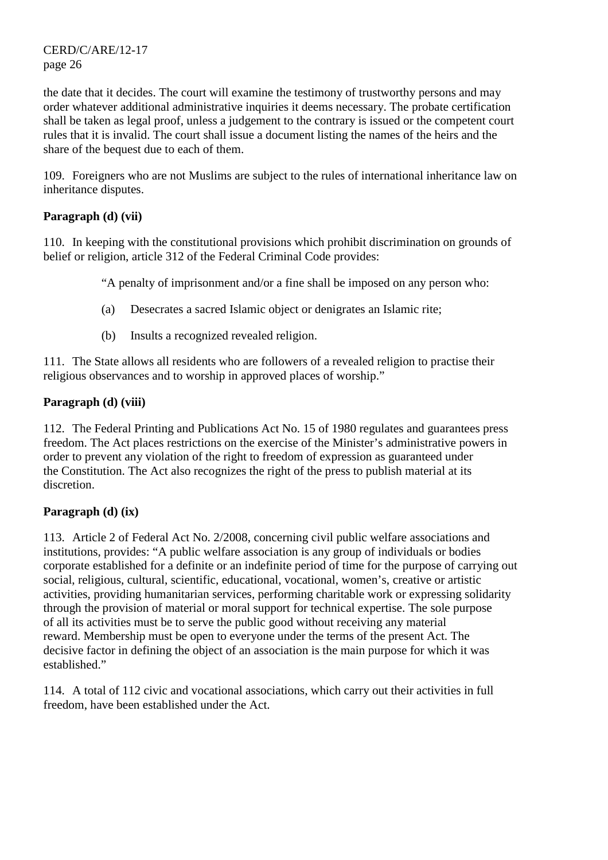the date that it decides. The court will examine the testimony of trustworthy persons and may order whatever additional administrative inquiries it deems necessary. The probate certification shall be taken as legal proof, unless a judgement to the contrary is issued or the competent court rules that it is invalid. The court shall issue a document listing the names of the heirs and the share of the bequest due to each of them.

109. Foreigners who are not Muslims are subject to the rules of international inheritance law on inheritance disputes.

### **Paragraph (d) (vii)**

110. In keeping with the constitutional provisions which prohibit discrimination on grounds of belief or religion, article 312 of the Federal Criminal Code provides:

"A penalty of imprisonment and/or a fine shall be imposed on any person who:

- (a) Desecrates a sacred Islamic object or denigrates an Islamic rite;
- (b) Insults a recognized revealed religion.

111. The State allows all residents who are followers of a revealed religion to practise their religious observances and to worship in approved places of worship."

### **Paragraph (d) (viii)**

112. The Federal Printing and Publications Act No. 15 of 1980 regulates and guarantees press freedom. The Act places restrictions on the exercise of the Minister's administrative powers in order to prevent any violation of the right to freedom of expression as guaranteed under the Constitution. The Act also recognizes the right of the press to publish material at its discretion.

# **Paragraph (d) (ix)**

113. Article 2 of Federal Act No. 2/2008, concerning civil public welfare associations and institutions, provides: "A public welfare association is any group of individuals or bodies corporate established for a definite or an indefinite period of time for the purpose of carrying out social, religious, cultural, scientific, educational, vocational, women's, creative or artistic activities, providing humanitarian services, performing charitable work or expressing solidarity through the provision of material or moral support for technical expertise. The sole purpose of all its activities must be to serve the public good without receiving any material reward. Membership must be open to everyone under the terms of the present Act. The decisive factor in defining the object of an association is the main purpose for which it was established."

114. A total of 112 civic and vocational associations, which carry out their activities in full freedom, have been established under the Act.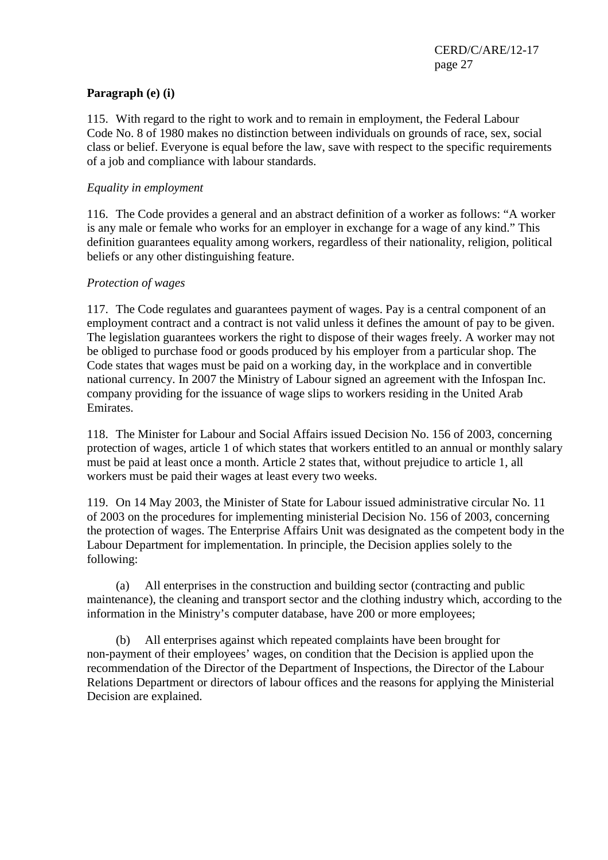### **Paragraph (e) (i)**

115. With regard to the right to work and to remain in employment, the Federal Labour Code No. 8 of 1980 makes no distinction between individuals on grounds of race, sex, social class or belief. Everyone is equal before the law, save with respect to the specific requirements of a job and compliance with labour standards.

#### *Equality in employment*

116. The Code provides a general and an abstract definition of a worker as follows: "A worker is any male or female who works for an employer in exchange for a wage of any kind." This definition guarantees equality among workers, regardless of their nationality, religion, political beliefs or any other distinguishing feature.

### *Protection of wages*

117. The Code regulates and guarantees payment of wages. Pay is a central component of an employment contract and a contract is not valid unless it defines the amount of pay to be given. The legislation guarantees workers the right to dispose of their wages freely. A worker may not be obliged to purchase food or goods produced by his employer from a particular shop. The Code states that wages must be paid on a working day, in the workplace and in convertible national currency. In 2007 the Ministry of Labour signed an agreement with the Infospan Inc. company providing for the issuance of wage slips to workers residing in the United Arab Emirates.

118. The Minister for Labour and Social Affairs issued Decision No. 156 of 2003, concerning protection of wages, article 1 of which states that workers entitled to an annual or monthly salary must be paid at least once a month. Article 2 states that, without prejudice to article 1, all workers must be paid their wages at least every two weeks.

119. On 14 May 2003, the Minister of State for Labour issued administrative circular No. 11 of 2003 on the procedures for implementing ministerial Decision No. 156 of 2003, concerning the protection of wages. The Enterprise Affairs Unit was designated as the competent body in the Labour Department for implementation. In principle, the Decision applies solely to the following:

 (a) All enterprises in the construction and building sector (contracting and public maintenance), the cleaning and transport sector and the clothing industry which, according to the information in the Ministry's computer database, have 200 or more employees;

 (b) All enterprises against which repeated complaints have been brought for non-payment of their employees' wages, on condition that the Decision is applied upon the recommendation of the Director of the Department of Inspections, the Director of the Labour Relations Department or directors of labour offices and the reasons for applying the Ministerial Decision are explained.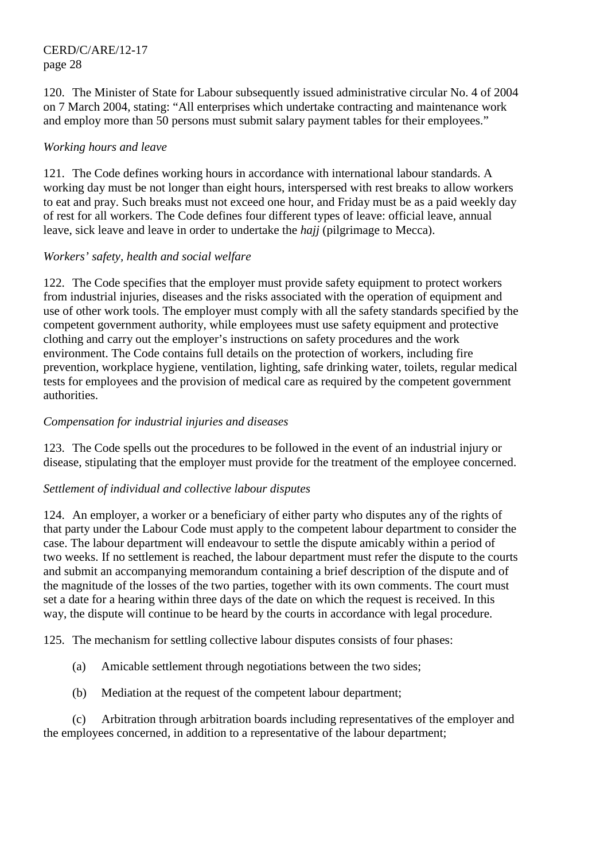120. The Minister of State for Labour subsequently issued administrative circular No. 4 of 2004 on 7 March 2004, stating: "All enterprises which undertake contracting and maintenance work and employ more than 50 persons must submit salary payment tables for their employees."

### *Working hours and leave*

121. The Code defines working hours in accordance with international labour standards. A working day must be not longer than eight hours, interspersed with rest breaks to allow workers to eat and pray. Such breaks must not exceed one hour, and Friday must be as a paid weekly day of rest for all workers. The Code defines four different types of leave: official leave, annual leave, sick leave and leave in order to undertake the *hajj* (pilgrimage to Mecca).

### *Workers' safety, health and social welfare*

122. The Code specifies that the employer must provide safety equipment to protect workers from industrial injuries, diseases and the risks associated with the operation of equipment and use of other work tools. The employer must comply with all the safety standards specified by the competent government authority, while employees must use safety equipment and protective clothing and carry out the employer's instructions on safety procedures and the work environment. The Code contains full details on the protection of workers, including fire prevention, workplace hygiene, ventilation, lighting, safe drinking water, toilets, regular medical tests for employees and the provision of medical care as required by the competent government authorities.

### *Compensation for industrial injuries and diseases*

123. The Code spells out the procedures to be followed in the event of an industrial injury or disease, stipulating that the employer must provide for the treatment of the employee concerned.

# *Settlement of individual and collective labour disputes*

124. An employer, a worker or a beneficiary of either party who disputes any of the rights of that party under the Labour Code must apply to the competent labour department to consider the case. The labour department will endeavour to settle the dispute amicably within a period of two weeks. If no settlement is reached, the labour department must refer the dispute to the courts and submit an accompanying memorandum containing a brief description of the dispute and of the magnitude of the losses of the two parties, together with its own comments. The court must set a date for a hearing within three days of the date on which the request is received. In this way, the dispute will continue to be heard by the courts in accordance with legal procedure.

125. The mechanism for settling collective labour disputes consists of four phases:

- (a) Amicable settlement through negotiations between the two sides;
- (b) Mediation at the request of the competent labour department;

 (c) Arbitration through arbitration boards including representatives of the employer and the employees concerned, in addition to a representative of the labour department;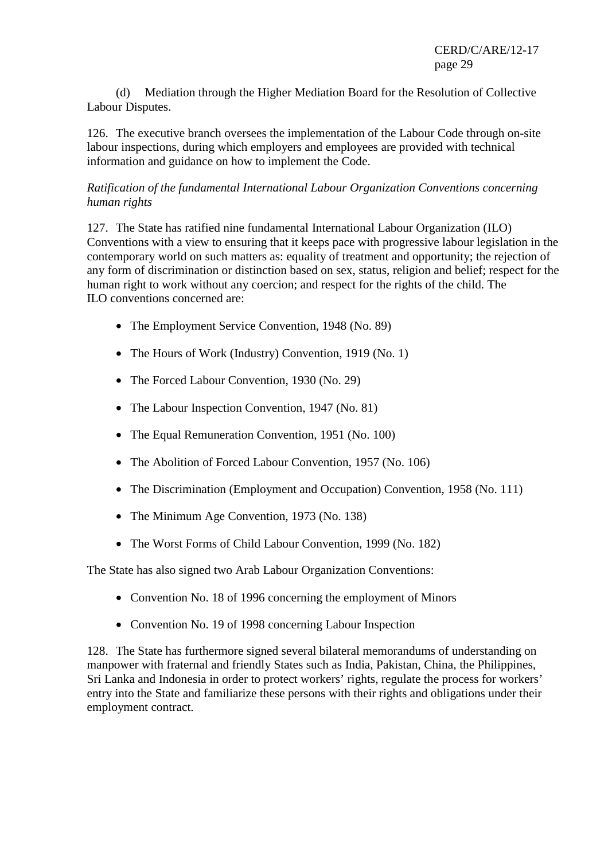(d) Mediation through the Higher Mediation Board for the Resolution of Collective Labour Disputes.

126. The executive branch oversees the implementation of the Labour Code through on-site labour inspections, during which employers and employees are provided with technical information and guidance on how to implement the Code.

### *Ratification of the fundamental International Labour Organization Conventions concerning human rights*

127. The State has ratified nine fundamental International Labour Organization (ILO) Conventions with a view to ensuring that it keeps pace with progressive labour legislation in the contemporary world on such matters as: equality of treatment and opportunity; the rejection of any form of discrimination or distinction based on sex, status, religion and belief; respect for the human right to work without any coercion; and respect for the rights of the child. The ILO conventions concerned are:

- The Employment Service Convention, 1948 (No. 89)
- The Hours of Work (Industry) Convention, 1919 (No. 1)
- The Forced Labour Convention, 1930 (No. 29)
- The Labour Inspection Convention, 1947 (No. 81)
- The Equal Remuneration Convention, 1951 (No. 100)
- The Abolition of Forced Labour Convention, 1957 (No. 106)
- The Discrimination (Employment and Occupation) Convention, 1958 (No. 111)
- The Minimum Age Convention, 1973 (No. 138)
- The Worst Forms of Child Labour Convention, 1999 (No. 182)

The State has also signed two Arab Labour Organization Conventions:

- Convention No. 18 of 1996 concerning the employment of Minors
- Convention No. 19 of 1998 concerning Labour Inspection

128. The State has furthermore signed several bilateral memorandums of understanding on manpower with fraternal and friendly States such as India, Pakistan, China, the Philippines, Sri Lanka and Indonesia in order to protect workers' rights, regulate the process for workers' entry into the State and familiarize these persons with their rights and obligations under their employment contract.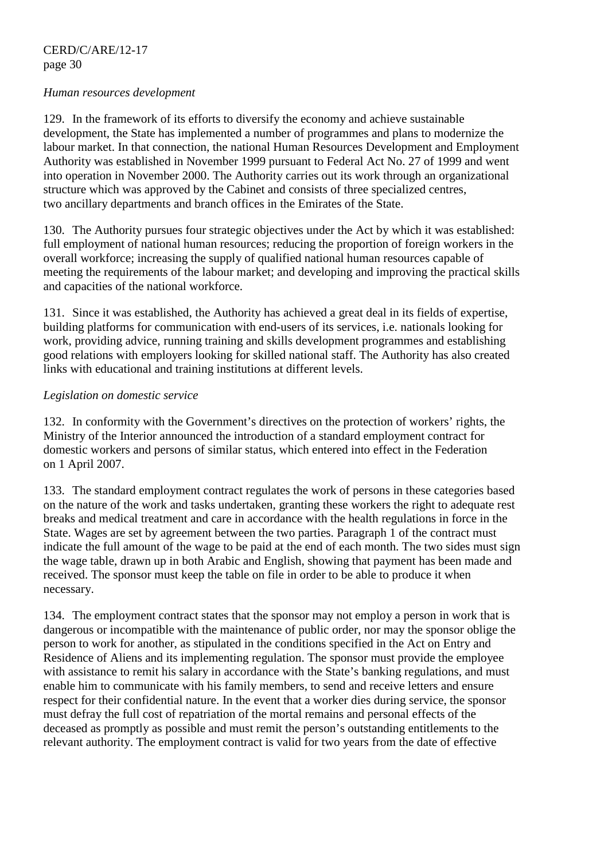#### *Human resources development*

129. In the framework of its efforts to diversify the economy and achieve sustainable development, the State has implemented a number of programmes and plans to modernize the labour market. In that connection, the national Human Resources Development and Employment Authority was established in November 1999 pursuant to Federal Act No. 27 of 1999 and went into operation in November 2000. The Authority carries out its work through an organizational structure which was approved by the Cabinet and consists of three specialized centres, two ancillary departments and branch offices in the Emirates of the State.

130. The Authority pursues four strategic objectives under the Act by which it was established: full employment of national human resources; reducing the proportion of foreign workers in the overall workforce; increasing the supply of qualified national human resources capable of meeting the requirements of the labour market; and developing and improving the practical skills and capacities of the national workforce.

131. Since it was established, the Authority has achieved a great deal in its fields of expertise, building platforms for communication with end-users of its services, i.e. nationals looking for work, providing advice, running training and skills development programmes and establishing good relations with employers looking for skilled national staff. The Authority has also created links with educational and training institutions at different levels.

### *Legislation on domestic service*

132. In conformity with the Government's directives on the protection of workers' rights, the Ministry of the Interior announced the introduction of a standard employment contract for domestic workers and persons of similar status, which entered into effect in the Federation on 1 April 2007.

133. The standard employment contract regulates the work of persons in these categories based on the nature of the work and tasks undertaken, granting these workers the right to adequate rest breaks and medical treatment and care in accordance with the health regulations in force in the State. Wages are set by agreement between the two parties. Paragraph 1 of the contract must indicate the full amount of the wage to be paid at the end of each month. The two sides must sign the wage table, drawn up in both Arabic and English, showing that payment has been made and received. The sponsor must keep the table on file in order to be able to produce it when necessary.

134. The employment contract states that the sponsor may not employ a person in work that is dangerous or incompatible with the maintenance of public order, nor may the sponsor oblige the person to work for another, as stipulated in the conditions specified in the Act on Entry and Residence of Aliens and its implementing regulation. The sponsor must provide the employee with assistance to remit his salary in accordance with the State's banking regulations, and must enable him to communicate with his family members, to send and receive letters and ensure respect for their confidential nature. In the event that a worker dies during service, the sponsor must defray the full cost of repatriation of the mortal remains and personal effects of the deceased as promptly as possible and must remit the person's outstanding entitlements to the relevant authority. The employment contract is valid for two years from the date of effective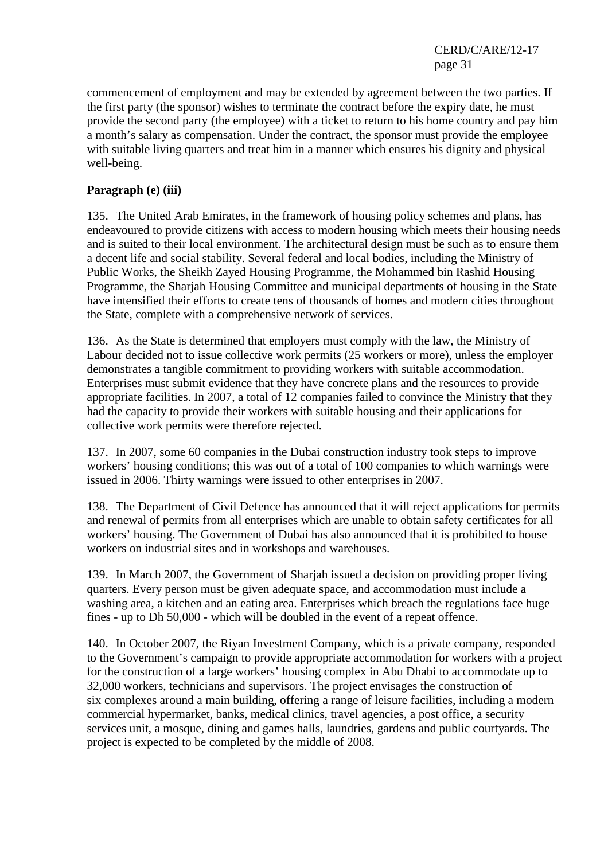commencement of employment and may be extended by agreement between the two parties. If the first party (the sponsor) wishes to terminate the contract before the expiry date, he must provide the second party (the employee) with a ticket to return to his home country and pay him a month's salary as compensation. Under the contract, the sponsor must provide the employee with suitable living quarters and treat him in a manner which ensures his dignity and physical well-being.

### **Paragraph (e) (iii)**

135. The United Arab Emirates, in the framework of housing policy schemes and plans, has endeavoured to provide citizens with access to modern housing which meets their housing needs and is suited to their local environment. The architectural design must be such as to ensure them a decent life and social stability. Several federal and local bodies, including the Ministry of Public Works, the Sheikh Zayed Housing Programme, the Mohammed bin Rashid Housing Programme, the Sharjah Housing Committee and municipal departments of housing in the State have intensified their efforts to create tens of thousands of homes and modern cities throughout the State, complete with a comprehensive network of services.

136. As the State is determined that employers must comply with the law, the Ministry of Labour decided not to issue collective work permits (25 workers or more), unless the employer demonstrates a tangible commitment to providing workers with suitable accommodation. Enterprises must submit evidence that they have concrete plans and the resources to provide appropriate facilities. In 2007, a total of 12 companies failed to convince the Ministry that they had the capacity to provide their workers with suitable housing and their applications for collective work permits were therefore rejected.

137. In 2007, some 60 companies in the Dubai construction industry took steps to improve workers' housing conditions; this was out of a total of 100 companies to which warnings were issued in 2006. Thirty warnings were issued to other enterprises in 2007.

138. The Department of Civil Defence has announced that it will reject applications for permits and renewal of permits from all enterprises which are unable to obtain safety certificates for all workers' housing. The Government of Dubai has also announced that it is prohibited to house workers on industrial sites and in workshops and warehouses.

139. In March 2007, the Government of Sharjah issued a decision on providing proper living quarters. Every person must be given adequate space, and accommodation must include a washing area, a kitchen and an eating area. Enterprises which breach the regulations face huge fines - up to Dh 50,000 - which will be doubled in the event of a repeat offence.

140. In October 2007, the Riyan Investment Company, which is a private company, responded to the Government's campaign to provide appropriate accommodation for workers with a project for the construction of a large workers' housing complex in Abu Dhabi to accommodate up to 32,000 workers, technicians and supervisors. The project envisages the construction of six complexes around a main building, offering a range of leisure facilities, including a modern commercial hypermarket, banks, medical clinics, travel agencies, a post office, a security services unit, a mosque, dining and games halls, laundries, gardens and public courtyards. The project is expected to be completed by the middle of 2008.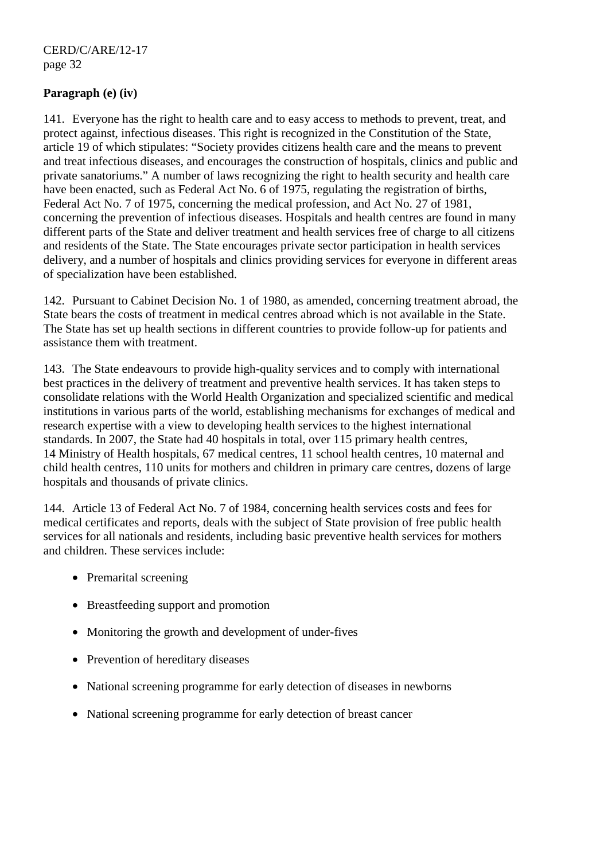### **Paragraph (e) (iv)**

141. Everyone has the right to health care and to easy access to methods to prevent, treat, and protect against, infectious diseases. This right is recognized in the Constitution of the State, article 19 of which stipulates: "Society provides citizens health care and the means to prevent and treat infectious diseases, and encourages the construction of hospitals, clinics and public and private sanatoriums." A number of laws recognizing the right to health security and health care have been enacted, such as Federal Act No. 6 of 1975, regulating the registration of births, Federal Act No. 7 of 1975, concerning the medical profession, and Act No. 27 of 1981, concerning the prevention of infectious diseases. Hospitals and health centres are found in many different parts of the State and deliver treatment and health services free of charge to all citizens and residents of the State. The State encourages private sector participation in health services delivery, and a number of hospitals and clinics providing services for everyone in different areas of specialization have been established.

142. Pursuant to Cabinet Decision No. 1 of 1980, as amended, concerning treatment abroad, the State bears the costs of treatment in medical centres abroad which is not available in the State. The State has set up health sections in different countries to provide follow-up for patients and assistance them with treatment.

143. The State endeavours to provide high-quality services and to comply with international best practices in the delivery of treatment and preventive health services. It has taken steps to consolidate relations with the World Health Organization and specialized scientific and medical institutions in various parts of the world, establishing mechanisms for exchanges of medical and research expertise with a view to developing health services to the highest international standards. In 2007, the State had 40 hospitals in total, over 115 primary health centres, 14 Ministry of Health hospitals, 67 medical centres, 11 school health centres, 10 maternal and child health centres, 110 units for mothers and children in primary care centres, dozens of large hospitals and thousands of private clinics.

144. Article 13 of Federal Act No. 7 of 1984, concerning health services costs and fees for medical certificates and reports, deals with the subject of State provision of free public health services for all nationals and residents, including basic preventive health services for mothers and children. These services include:

- Premarital screening
- Breastfeeding support and promotion
- Monitoring the growth and development of under-fives
- Prevention of hereditary diseases
- National screening programme for early detection of diseases in newborns
- National screening programme for early detection of breast cancer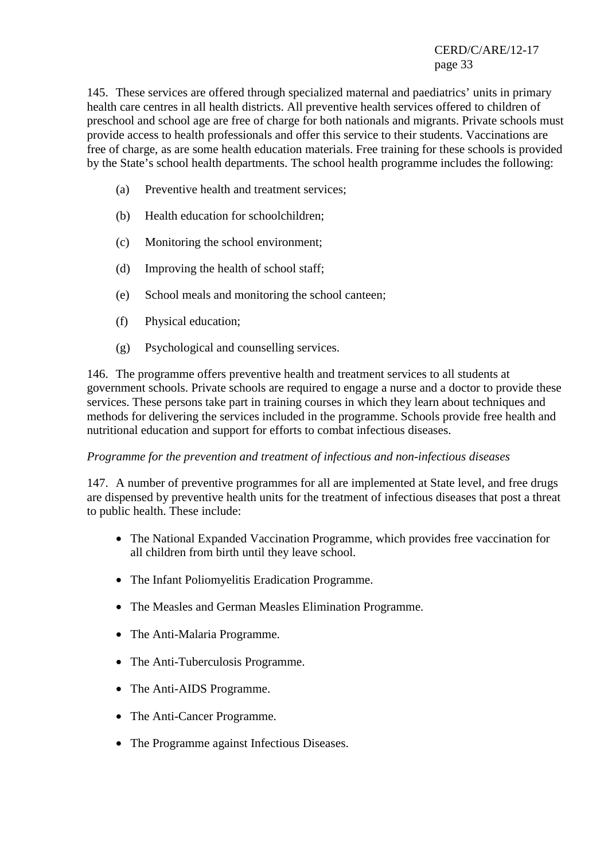145. These services are offered through specialized maternal and paediatrics' units in primary health care centres in all health districts. All preventive health services offered to children of preschool and school age are free of charge for both nationals and migrants. Private schools must provide access to health professionals and offer this service to their students. Vaccinations are free of charge, as are some health education materials. Free training for these schools is provided by the State's school health departments. The school health programme includes the following:

- (a) Preventive health and treatment services;
- (b) Health education for schoolchildren;
- (c) Monitoring the school environment;
- (d) Improving the health of school staff;
- (e) School meals and monitoring the school canteen;
- (f) Physical education;
- (g) Psychological and counselling services.

146. The programme offers preventive health and treatment services to all students at government schools. Private schools are required to engage a nurse and a doctor to provide these services. These persons take part in training courses in which they learn about techniques and methods for delivering the services included in the programme. Schools provide free health and nutritional education and support for efforts to combat infectious diseases.

#### *Programme for the prevention and treatment of infectious and non-infectious diseases*

147. A number of preventive programmes for all are implemented at State level, and free drugs are dispensed by preventive health units for the treatment of infectious diseases that post a threat to public health. These include:

- The National Expanded Vaccination Programme, which provides free vaccination for all children from birth until they leave school.
- The Infant Poliomyelitis Eradication Programme.
- The Measles and German Measles Elimination Programme.
- The Anti-Malaria Programme.
- The Anti-Tuberculosis Programme.
- The Anti-AIDS Programme.
- The Anti-Cancer Programme.
- The Programme against Infectious Diseases.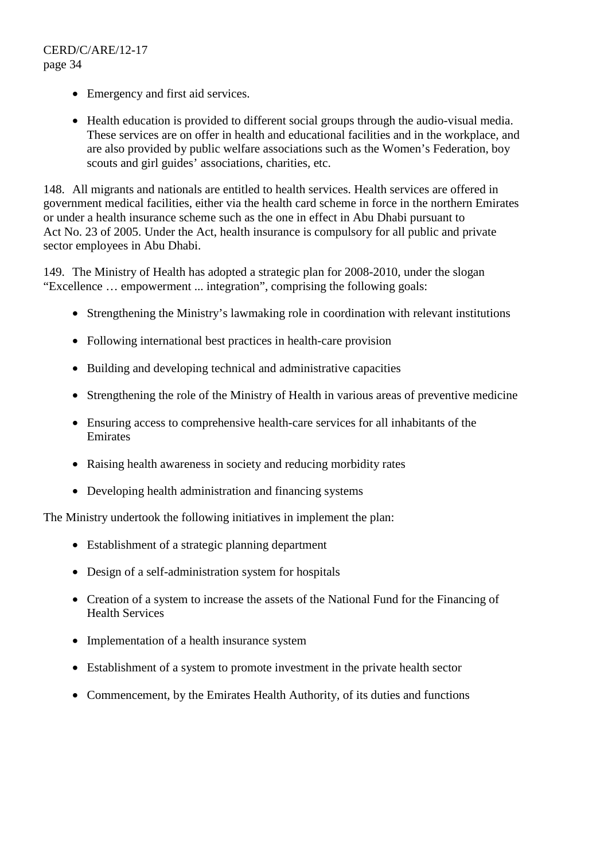- Emergency and first aid services.
- Health education is provided to different social groups through the audio-visual media. These services are on offer in health and educational facilities and in the workplace, and are also provided by public welfare associations such as the Women's Federation, boy scouts and girl guides' associations, charities, etc.

148. All migrants and nationals are entitled to health services. Health services are offered in government medical facilities, either via the health card scheme in force in the northern Emirates or under a health insurance scheme such as the one in effect in Abu Dhabi pursuant to Act No. 23 of 2005. Under the Act, health insurance is compulsory for all public and private sector employees in Abu Dhabi.

149. The Ministry of Health has adopted a strategic plan for 2008-2010, under the slogan "Excellence … empowerment ... integration", comprising the following goals:

- Strengthening the Ministry's lawmaking role in coordination with relevant institutions
- Following international best practices in health-care provision
- Building and developing technical and administrative capacities
- Strengthening the role of the Ministry of Health in various areas of preventive medicine
- Ensuring access to comprehensive health-care services for all inhabitants of the Emirates
- Raising health awareness in society and reducing morbidity rates
- Developing health administration and financing systems

The Ministry undertook the following initiatives in implement the plan:

- Establishment of a strategic planning department
- Design of a self-administration system for hospitals
- Creation of a system to increase the assets of the National Fund for the Financing of Health Services
- Implementation of a health insurance system
- Establishment of a system to promote investment in the private health sector
- Commencement, by the Emirates Health Authority, of its duties and functions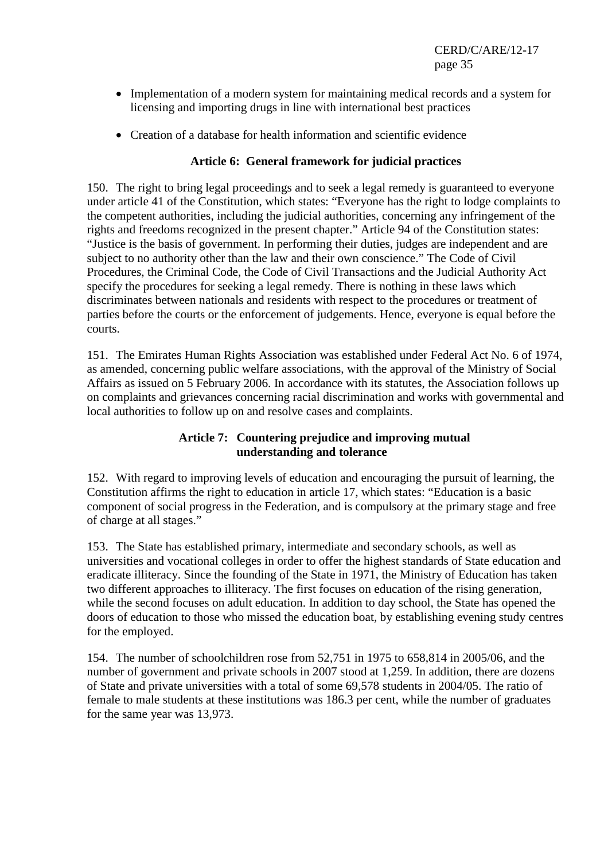- Implementation of a modern system for maintaining medical records and a system for licensing and importing drugs in line with international best practices
- Creation of a database for health information and scientific evidence

### **Article 6: General framework for judicial practices**

150. The right to bring legal proceedings and to seek a legal remedy is guaranteed to everyone under article 41 of the Constitution, which states: "Everyone has the right to lodge complaints to the competent authorities, including the judicial authorities, concerning any infringement of the rights and freedoms recognized in the present chapter." Article 94 of the Constitution states: "Justice is the basis of government. In performing their duties, judges are independent and are subject to no authority other than the law and their own conscience." The Code of Civil Procedures, the Criminal Code, the Code of Civil Transactions and the Judicial Authority Act specify the procedures for seeking a legal remedy. There is nothing in these laws which discriminates between nationals and residents with respect to the procedures or treatment of parties before the courts or the enforcement of judgements. Hence, everyone is equal before the courts.

151. The Emirates Human Rights Association was established under Federal Act No. 6 of 1974, as amended, concerning public welfare associations, with the approval of the Ministry of Social Affairs as issued on 5 February 2006. In accordance with its statutes, the Association follows up on complaints and grievances concerning racial discrimination and works with governmental and local authorities to follow up on and resolve cases and complaints.

### **Article 7: Countering prejudice and improving mutual understanding and tolerance**

152. With regard to improving levels of education and encouraging the pursuit of learning, the Constitution affirms the right to education in article 17, which states: "Education is a basic component of social progress in the Federation, and is compulsory at the primary stage and free of charge at all stages."

153. The State has established primary, intermediate and secondary schools, as well as universities and vocational colleges in order to offer the highest standards of State education and eradicate illiteracy. Since the founding of the State in 1971, the Ministry of Education has taken two different approaches to illiteracy. The first focuses on education of the rising generation, while the second focuses on adult education. In addition to day school, the State has opened the doors of education to those who missed the education boat, by establishing evening study centres for the employed.

154. The number of schoolchildren rose from 52,751 in 1975 to 658,814 in 2005/06, and the number of government and private schools in 2007 stood at 1,259. In addition, there are dozens of State and private universities with a total of some 69,578 students in 2004/05. The ratio of female to male students at these institutions was 186.3 per cent, while the number of graduates for the same year was 13,973.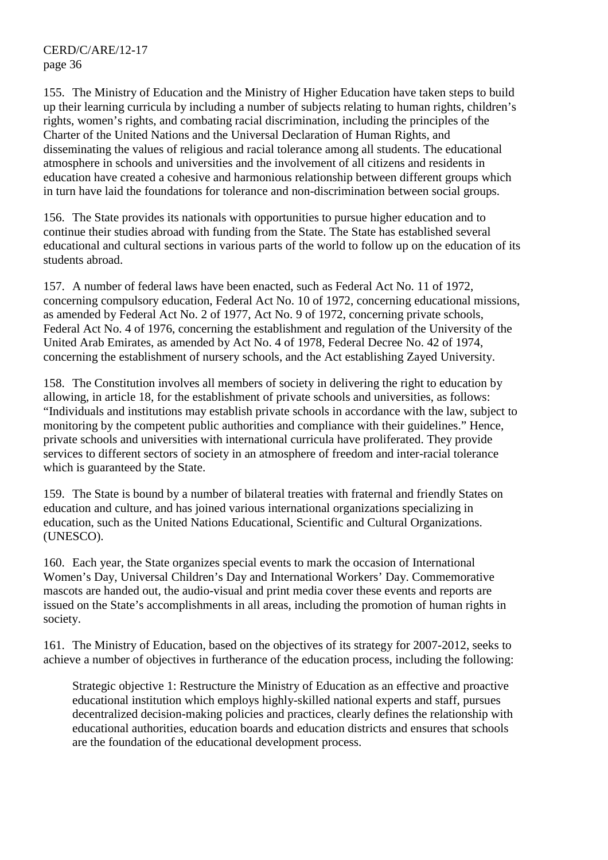155. The Ministry of Education and the Ministry of Higher Education have taken steps to build up their learning curricula by including a number of subjects relating to human rights, children's rights, women's rights, and combating racial discrimination, including the principles of the Charter of the United Nations and the Universal Declaration of Human Rights, and disseminating the values of religious and racial tolerance among all students. The educational atmosphere in schools and universities and the involvement of all citizens and residents in education have created a cohesive and harmonious relationship between different groups which in turn have laid the foundations for tolerance and non-discrimination between social groups.

156. The State provides its nationals with opportunities to pursue higher education and to continue their studies abroad with funding from the State. The State has established several educational and cultural sections in various parts of the world to follow up on the education of its students abroad.

157. A number of federal laws have been enacted, such as Federal Act No. 11 of 1972, concerning compulsory education, Federal Act No. 10 of 1972, concerning educational missions, as amended by Federal Act No. 2 of 1977, Act No. 9 of 1972, concerning private schools, Federal Act No. 4 of 1976, concerning the establishment and regulation of the University of the United Arab Emirates, as amended by Act No. 4 of 1978, Federal Decree No. 42 of 1974, concerning the establishment of nursery schools, and the Act establishing Zayed University.

158. The Constitution involves all members of society in delivering the right to education by allowing, in article 18, for the establishment of private schools and universities, as follows: "Individuals and institutions may establish private schools in accordance with the law, subject to monitoring by the competent public authorities and compliance with their guidelines." Hence, private schools and universities with international curricula have proliferated. They provide services to different sectors of society in an atmosphere of freedom and inter-racial tolerance which is guaranteed by the State.

159. The State is bound by a number of bilateral treaties with fraternal and friendly States on education and culture, and has joined various international organizations specializing in education, such as the United Nations Educational, Scientific and Cultural Organizations. (UNESCO).

160. Each year, the State organizes special events to mark the occasion of International Women's Day, Universal Children's Day and International Workers' Day. Commemorative mascots are handed out, the audio-visual and print media cover these events and reports are issued on the State's accomplishments in all areas, including the promotion of human rights in society.

161. The Ministry of Education, based on the objectives of its strategy for 2007-2012, seeks to achieve a number of objectives in furtherance of the education process, including the following:

Strategic objective 1: Restructure the Ministry of Education as an effective and proactive educational institution which employs highly-skilled national experts and staff, pursues decentralized decision-making policies and practices, clearly defines the relationship with educational authorities, education boards and education districts and ensures that schools are the foundation of the educational development process.